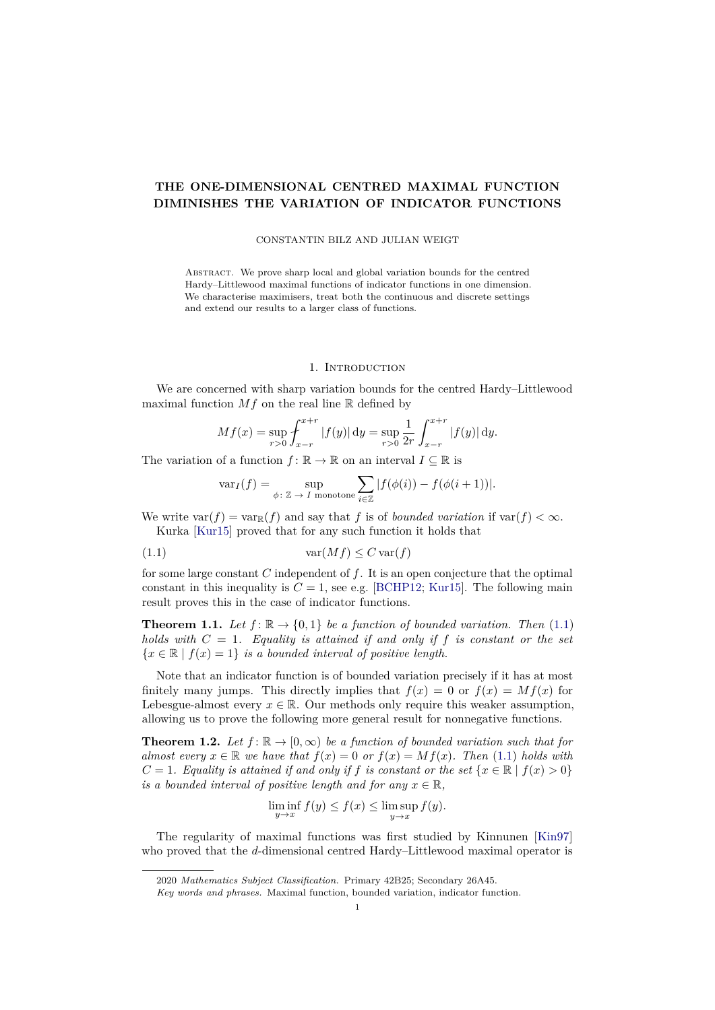# <span id="page-0-4"></span>**THE ONE-DIMENSIONAL CENTRED MAXIMAL FUNCTION DIMINISHES THE VARIATION OF INDICATOR FUNCTIONS**

#### CONSTANTIN BILZ AND JULIAN WEIGT

Abstract. We prove sharp local and global variation bounds for the centred Hardy–Littlewood maximal functions of indicator functions in one dimension. We characterise maximisers, treat both the continuous and discrete settings and extend our results to a larger class of functions.

#### 1. INTRODUCTION

<span id="page-0-3"></span>We are concerned with sharp variation bounds for the centred Hardy–Littlewood maximal function  $Mf$  on the real line  $\mathbb R$  defined by

$$
Mf(x) = \sup_{r>0} \int_{x-r}^{x+r} |f(y)| \, \mathrm{d}y = \sup_{r>0} \frac{1}{2r} \int_{x-r}^{x+r} |f(y)| \, \mathrm{d}y.
$$

The variation of a function  $f: \mathbb{R} \to \mathbb{R}$  on an interval  $I \subseteq \mathbb{R}$  is

<span id="page-0-0"></span>
$$
\text{var}_I(f) = \sup_{\phi \colon \mathbb{Z} \to I \text{ monotone}} \sum_{i \in \mathbb{Z}} |f(\phi(i)) - f(\phi(i+1))|.
$$

We write  $var(f) = var_{\mathbb{R}}(f)$  and say that *f* is of *bounded variation* if  $var(f) < \infty$ . Kurka [\[Kur15\]](#page-17-0) proved that for any such function it holds that

(1.1) var(*Mf*) ≤ *C* var(*f*)

for some large constant *C* independent of *f*. It is an open conjecture that the optimal constant in this inequality is  $C = 1$ , see e.g. [\[BCHP12;](#page-17-1) [Kur15\]](#page-17-0). The following main result proves this in the case of indicator functions.

<span id="page-0-1"></span>**Theorem 1.1.** *Let*  $f: \mathbb{R} \to \{0,1\}$  *be a function of bounded variation. Then* [\(1.1\)](#page-0-0) *holds with*  $C = 1$ *. Equality is attained if and only if*  $f$  *is constant or the set*  ${x \in \mathbb{R} \mid f(x) = 1}$  *is a bounded interval of positive length.* 

Note that an indicator function is of bounded variation precisely if it has at most finitely many jumps. This directly implies that  $f(x) = 0$  or  $f(x) = Mf(x)$  for Lebesgue-almost every  $x \in \mathbb{R}$ . Our methods only require this weaker assumption, allowing us to prove the following more general result for nonnegative functions.

<span id="page-0-2"></span>**Theorem 1.2.** Let  $f: \mathbb{R} \to [0, \infty)$  be a function of bounded variation such that for *almost every*  $x \in \mathbb{R}$  *we have that*  $f(x) = 0$  *or*  $f(x) = Mf(x)$ *. Then* [\(1.1\)](#page-0-0) *holds with*  $C = 1$ *. Equality is attained if and only if f is constant or the set*  $\{x \in \mathbb{R} \mid f(x) > 0\}$ *is a bounded interval of positive length and for any*  $x \in \mathbb{R}$ ,

$$
\liminf_{y \to x} f(y) \le f(x) \le \limsup_{y \to x} f(y).
$$

The regularity of maximal functions was first studied by Kinnunen [\[Kin97\]](#page-17-2) who proved that the *d*-dimensional centred Hardy–Littlewood maximal operator is

<sup>2020</sup> *Mathematics Subject Classification.* Primary 42B25; Secondary 26A45.

*Key words and phrases.* Maximal function, bounded variation, indicator function.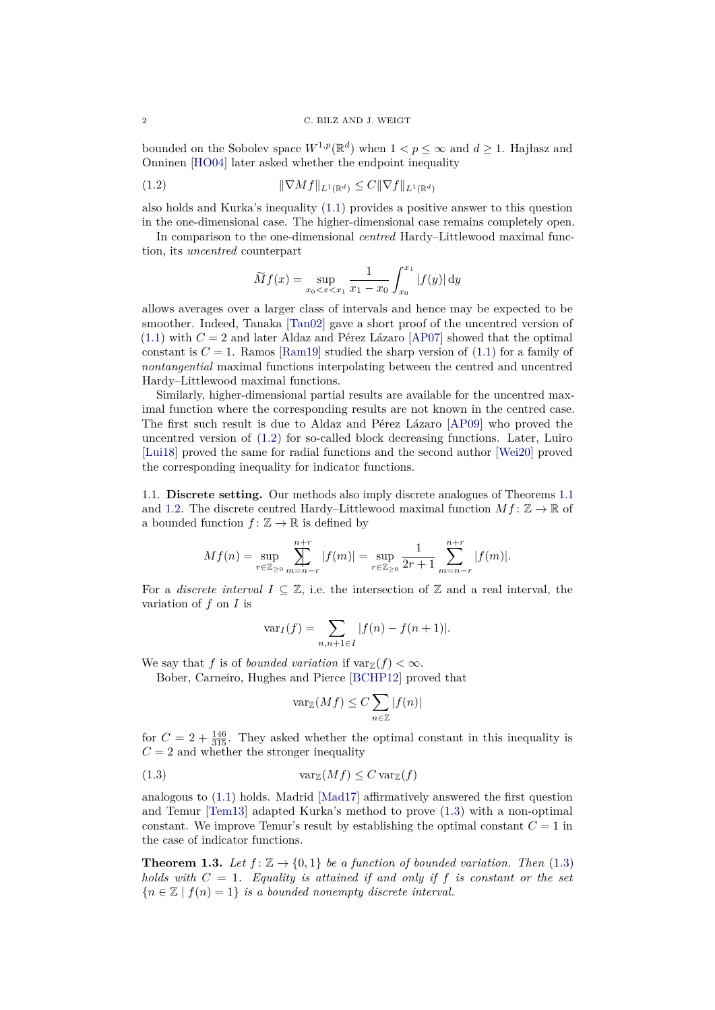<span id="page-1-4"></span>bounded on the Sobolev space  $W^{1,p}(\mathbb{R}^d)$  when  $1 < p \leq \infty$  and  $d \geq 1$ . Hajłasz and Onninen [\[HO04\]](#page-17-3) later asked whether the endpoint inequality

$$
(1.2)\qquad \qquad \|\nabla Mf\|_{L^1(\mathbb{R}^d)} \le C\|\nabla f\|_{L^1(\mathbb{R}^d)}
$$

also holds and Kurka's inequality [\(1.1\)](#page-0-0) provides a positive answer to this question in the one-dimensional case. The higher-dimensional case remains completely open.

In comparison to the one-dimensional *centred* Hardy–Littlewood maximal function, its *uncentred* counterpart

<span id="page-1-0"></span>
$$
\widetilde{M}f(x) = \sup_{x_0 < x < x_1} \frac{1}{x_1 - x_0} \int_{x_0}^{x_1} |f(y)| \, dy
$$

allows averages over a larger class of intervals and hence may be expected to be smoother. Indeed, Tanaka [\[Tan02\]](#page-17-4) gave a short proof of the uncentred version of  $(1.1)$  with  $C = 2$  and later Aldaz and Pérez Lázaro [\[AP07\]](#page-17-5) showed that the optimal constant is  $C = 1$ . Ramos [\[Ram19\]](#page-17-6) studied the sharp version of  $(1.1)$  for a family of *nontangential* maximal functions interpolating between the centred and uncentred Hardy–Littlewood maximal functions.

Similarly, higher-dimensional partial results are available for the uncentred maximal function where the corresponding results are not known in the centred case. The first such result is due to Aldaz and Pérez Lázaro [\[AP09\]](#page-17-7) who proved the uncentred version of [\(1.2\)](#page-1-0) for so-called block decreasing functions. Later, Luiro [\[Lui18\]](#page-17-8) proved the same for radial functions and the second author [\[Wei20\]](#page-17-9) proved the corresponding inequality for indicator functions.

<span id="page-1-3"></span>1.1. **Discrete setting.** Our methods also imply discrete analogues of Theorems [1.1](#page-0-1) and [1.2.](#page-0-2) The discrete centred Hardy–Littlewood maximal function  $Mf: \mathbb{Z} \to \mathbb{R}$  of a bounded function  $f: \mathbb{Z} \to \mathbb{R}$  is defined by

$$
Mf(n) = \sup_{r \in \mathbb{Z}_{\geq 0}} \sum_{m=n-r}^{n+r} |f(m)| = \sup_{r \in \mathbb{Z}_{\geq 0}} \frac{1}{2r+1} \sum_{m=n-r}^{n+r} |f(m)|.
$$

For a *discrete interval*  $I \subseteq \mathbb{Z}$ , i.e. the intersection of  $\mathbb{Z}$  and a real interval, the variation of *f* on *I* is

$$
var_I(f) = \sum_{n,n+1 \in I} |f(n) - f(n+1)|.
$$

We say that *f* is of *bounded variation* if  $\text{var}_{\mathbb{Z}}(f) < \infty$ .

Bober, Carneiro, Hughes and Pierce [\[BCHP12\]](#page-17-1) proved that

<span id="page-1-1"></span>
$$
\text{var}_{\mathbb{Z}}(Mf)\leq C\sum_{n\in\mathbb{Z}}|f(n)|
$$

for  $C = 2 + \frac{146}{315}$ . They asked whether the optimal constant in this inequality is  $C = 2$  and whether the stronger inequality

(1.3) varZ(*Mf*) ≤ *C* varZ(*f*)

analogous to [\(1.1\)](#page-0-0) holds. Madrid [\[Mad17\]](#page-17-10) affirmatively answered the first question and Temur [\[Tem13\]](#page-17-11) adapted Kurka's method to prove [\(1.3\)](#page-1-1) with a non-optimal constant. We improve Temur's result by establishing the optimal constant  $C = 1$  in the case of indicator functions.

<span id="page-1-2"></span>**Theorem 1.3.** *Let*  $f: \mathbb{Z} \to \{0, 1\}$  *be a function of bounded variation. Then* [\(1.3\)](#page-1-1) *holds with*  $C = 1$ *. Equality is attained if and only if*  $f$  *is constant or the set*  ${n \in \mathbb{Z} \mid f(n) = 1}$  *is a bounded nonempty discrete interval.*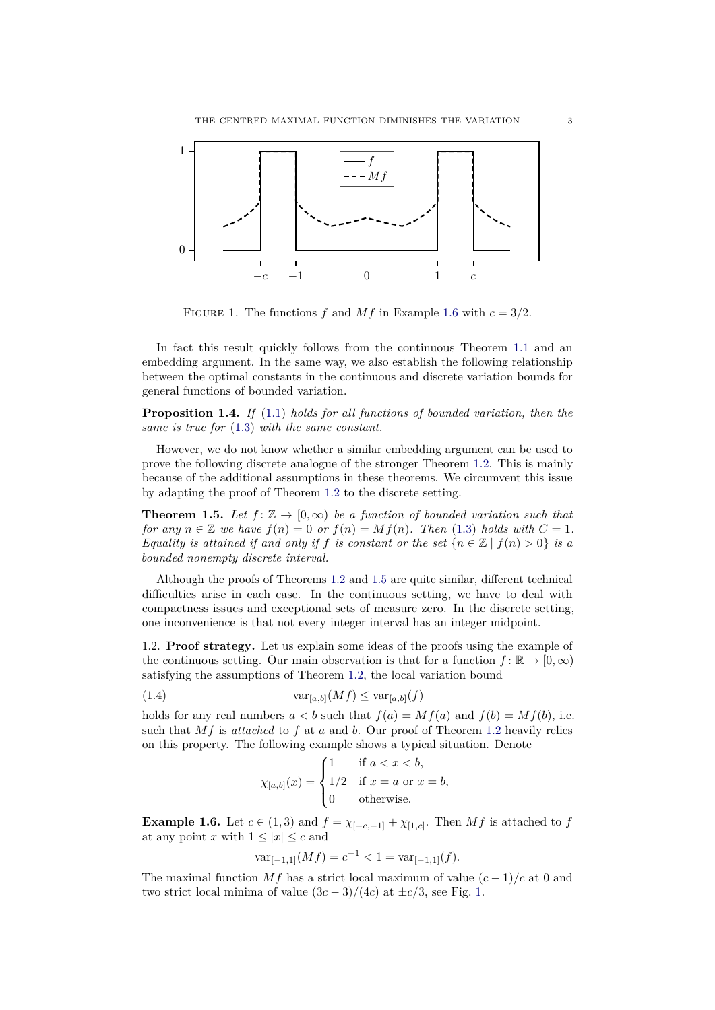

<span id="page-2-2"></span>FIGURE 1. The functions *f* and *Mf* in Example [1.6](#page-2-0) with  $c = 3/2$ .

In fact this result quickly follows from the continuous Theorem [1.1](#page-0-1) and an embedding argument. In the same way, we also establish the following relationship between the optimal constants in the continuous and discrete variation bounds for general functions of bounded variation.

<span id="page-2-4"></span>**Proposition 1.4.** *If* [\(1.1\)](#page-0-0) *holds for all functions of bounded variation, then the same is true for* [\(1.3\)](#page-1-1) *with the same constant.*

However, we do not know whether a similar embedding argument can be used to prove the following discrete analogue of the stronger Theorem [1.2.](#page-0-2) This is mainly because of the additional assumptions in these theorems. We circumvent this issue by adapting the proof of Theorem [1.2](#page-0-2) to the discrete setting.

<span id="page-2-1"></span>**Theorem 1.5.** Let  $f: \mathbb{Z} \to [0, \infty)$  be a function of bounded variation such that *for any*  $n \in \mathbb{Z}$  *we have*  $f(n) = 0$  *or*  $f(n) = Mf(n)$ *. Then* [\(1.3\)](#page-1-1) *holds with*  $C = 1$ *. Equality is attained if and only if f is constant or the set*  ${n \in \mathbb{Z} \mid f(n) > 0}$  *is a bounded nonempty discrete interval.*

Although the proofs of Theorems [1.2](#page-0-2) and [1.5](#page-2-1) are quite similar, different technical difficulties arise in each case. In the continuous setting, we have to deal with compactness issues and exceptional sets of measure zero. In the discrete setting, one inconvenience is that not every integer interval has an integer midpoint.

1.2. **Proof strategy.** Let us explain some ideas of the proofs using the example of the continuous setting. Our main observation is that for a function  $f: \mathbb{R} \to [0, \infty)$ satisfying the assumptions of Theorem [1.2,](#page-0-2) the local variation bound

(1.4) 
$$
\text{var}_{[a,b]}(Mf) \leq \text{var}_{[a,b]}(f)
$$

holds for any real numbers  $a < b$  such that  $f(a) = Mf(a)$  and  $f(b) = Mf(b)$ , i.e. such that *Mf* is *attached* to *f* at *a* and *b*. Our proof of Theorem [1.2](#page-0-2) heavily relies on this property. The following example shows a typical situation. Denote

<span id="page-2-3"></span>
$$
\chi_{[a,b]}(x) = \begin{cases} 1 & \text{if } a < x < b, \\ 1/2 & \text{if } x = a \text{ or } x = b, \\ 0 & \text{otherwise.} \end{cases}
$$

<span id="page-2-0"></span>**Example 1.6.** Let  $c \in (1,3)$  and  $f = \chi_{[-c,-1]} + \chi_{[1,c]}$ . Then Mf is attached to f at any point *x* with  $1 \leq |x| \leq c$  and

$$
\text{var}_{[-1,1]}(Mf) = c^{-1} < 1 = \text{var}_{[-1,1]}(f).
$$

The maximal function  $Mf$  has a strict local maximum of value  $(c-1)/c$  at 0 and two strict local minima of value  $(3c-3)/(4c)$  at  $\pm c/3$ , see Fig. [1.](#page-2-2)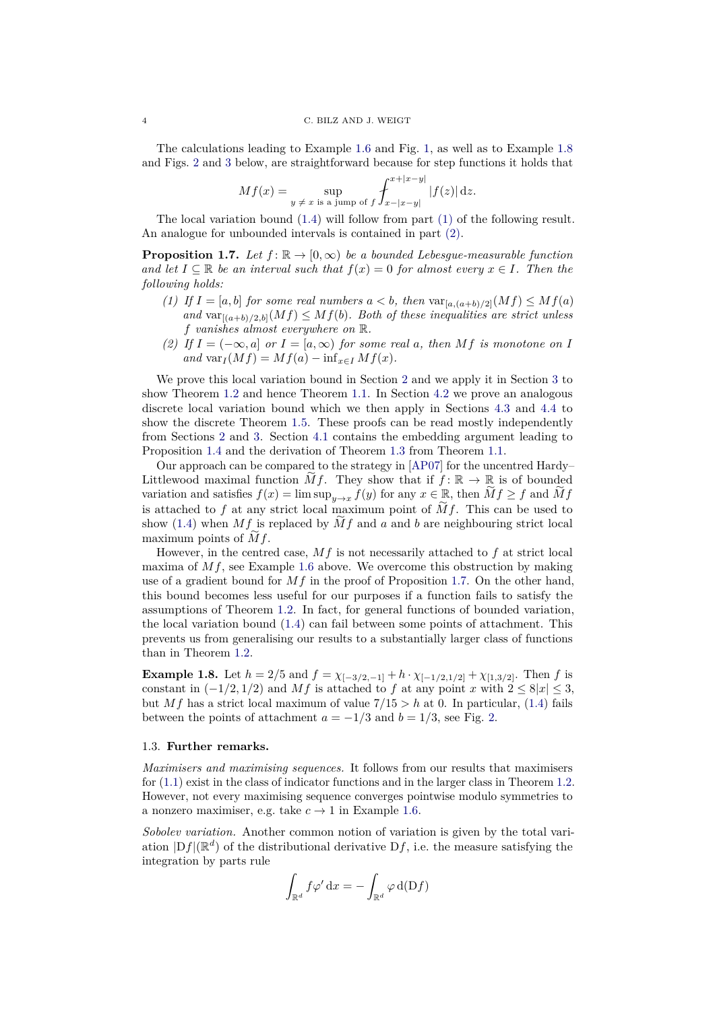<span id="page-3-4"></span>The calculations leading to Example [1.6](#page-2-0) and Fig. [1,](#page-2-2) as well as to Example [1.8](#page-3-0) and Figs. [2](#page-4-0) and [3](#page-5-0) below, are straightforward because for step functions it holds that

$$
Mf(x) = \sup_{y \neq x \text{ is a jump of } f} \int_{x-|x-y|}^{x+|x-y|} |f(z)| dz.
$$

The local variation bound [\(1.4\)](#page-2-3) will follow from part [\(1\)](#page-3-1) of the following result. An analogue for unbounded intervals is contained in part [\(2\).](#page-3-2)

<span id="page-3-3"></span>**Proposition 1.7.** *Let*  $f: \mathbb{R} \to [0, \infty)$  *be a bounded Lebesgue-measurable function and let*  $I \subseteq \mathbb{R}$  *be an interval such that*  $f(x) = 0$  *for almost every*  $x \in I$ *. Then the following holds:*

- <span id="page-3-1"></span>*(1) If*  $I = [a, b]$  *for some real numbers*  $a < b$ , *then*  $var_{[a,(a+b)/2]}(Mf) \leq Mf(a)$ and  $var_{[(a+b)/2,b]}(Mf) \leq Mf(b)$ *. Both of these inequalities are strict unless f vanishes almost everywhere on* R*.*
- <span id="page-3-2"></span>*(2)* If  $I = (−∞, a]$  *or*  $I = [a, ∞)$  *for some real a, then Mf is monotone on I*  $and \nvar(I(Mf)) = Mf(a) - \inf_{x \in I} Mf(x).$

We prove this local variation bound in Section [2](#page-4-1) and we apply it in Section [3](#page-8-0) to show Theorem [1.2](#page-0-2) and hence Theorem [1.1.](#page-0-1) In Section [4.2](#page-13-0) we prove an analogous discrete local variation bound which we then apply in Sections [4.3](#page-16-0) and [4.4](#page-16-1) to show the discrete Theorem [1.5.](#page-2-1) These proofs can be read mostly independently from Sections [2](#page-4-1) and [3.](#page-8-0) Section [4.1](#page-12-0) contains the embedding argument leading to Proposition [1.4](#page-2-4) and the derivation of Theorem [1.3](#page-1-2) from Theorem [1.1.](#page-0-1)

Our approach can be compared to the strategy in  $[{\rm AP07}]$  for the uncentred Hardy– Littlewood maximal function  $\widetilde{M}f$ . They show that if  $f: \mathbb{R} \to \mathbb{R}$  is of bounded variation and satisfies  $f(x) = \limsup_{y \to x} f(y)$  for any  $x \in \mathbb{R}$ , then  $\widetilde{M}f \ge f$  and  $\widetilde{M}f$ is attached to  $f$  at any strict local maximum point of  $Mf$ . This can be used to show [\(1.4\)](#page-2-3) when  $Mf$  is replaced by  $Mf$  and  $a$  and  $b$  are neighbouring strict local maximum points of *Mf*.

However, in the centred case, *Mf* is not necessarily attached to *f* at strict local maxima of *Mf*, see Example [1.6](#page-2-0) above. We overcome this obstruction by making use of a gradient bound for *Mf* in the proof of Proposition [1.7.](#page-3-3) On the other hand, this bound becomes less useful for our purposes if a function fails to satisfy the assumptions of Theorem [1.2.](#page-0-2) In fact, for general functions of bounded variation, the local variation bound [\(1.4\)](#page-2-3) can fail between some points of attachment. This prevents us from generalising our results to a substantially larger class of functions than in Theorem [1.2.](#page-0-2)

<span id="page-3-0"></span>**Example 1.8.** Let  $h = 2/5$  and  $f = \chi_{[-3/2,-1]} + h \cdot \chi_{[-1/2,1/2]} + \chi_{[1,3/2]}$ . Then *f* is constant in  $(-1/2, 1/2)$  and Mf is attached to f at any point x with  $2 \leq 8|x| \leq 3$ , but *Mf* has a strict local maximum of value  $7/15 > h$  at 0. In particular, [\(1.4\)](#page-2-3) fails between the points of attachment  $a = -1/3$  and  $b = 1/3$ , see Fig. [2.](#page-4-0)

#### 1.3. **Further remarks.**

*Maximisers and maximising sequences.* It follows from our results that maximisers for [\(1.1\)](#page-0-0) exist in the class of indicator functions and in the larger class in Theorem [1.2.](#page-0-2) However, not every maximising sequence converges pointwise modulo symmetries to a nonzero maximiser, e.g. take  $c \to 1$  in Example [1.6.](#page-2-0)

*Sobolev variation.* Another common notion of variation is given by the total variation  $|Df|(\mathbb{R}^d)$  of the distributional derivative  $Df$ , i.e. the measure satisfying the integration by parts rule

$$
\int_{\mathbb{R}^d} f \varphi' \, \mathrm{d}x = -\int_{\mathbb{R}^d} \varphi \, \mathrm{d}(\mathrm{D}f)
$$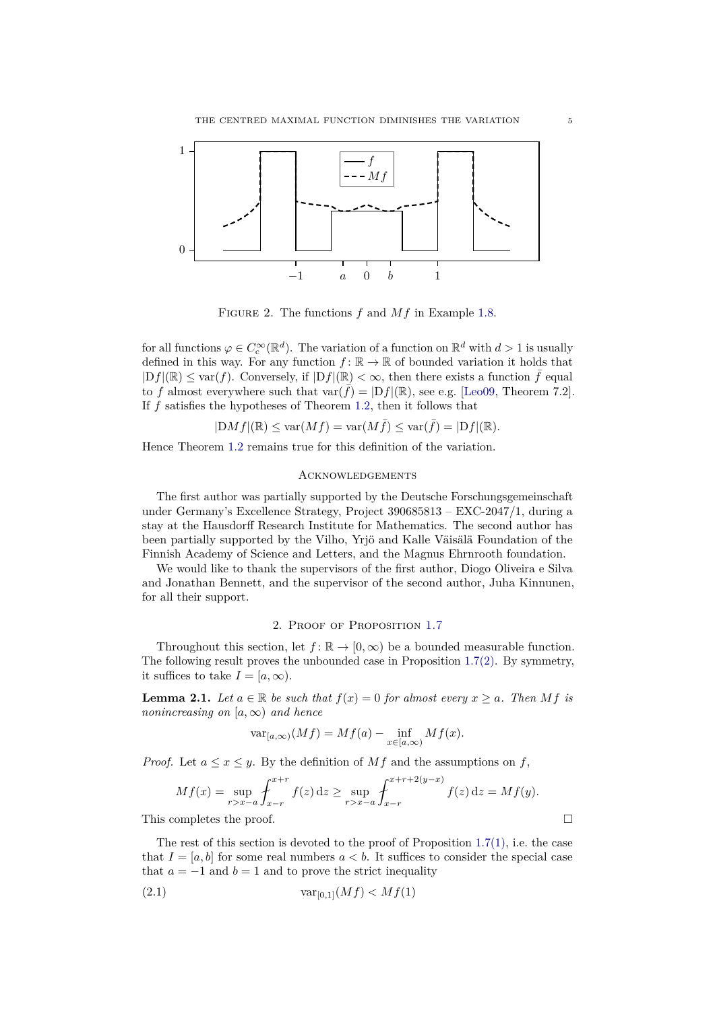<span id="page-4-4"></span>

<span id="page-4-0"></span>FIGURE 2. The functions  $f$  and  $Mf$  in Example [1.8.](#page-3-0)

for all functions  $\varphi \in C_c^{\infty}(\mathbb{R}^d)$ . The variation of a function on  $\mathbb{R}^d$  with  $d > 1$  is usually defined in this way. For any function  $f: \mathbb{R} \to \mathbb{R}$  of bounded variation it holds that  $|Df|(\mathbb{R}) \leq \text{var}(f)$ . Conversely, if  $|Df|(\mathbb{R}) < \infty$ , then there exists a function  $\tilde{f}$  equal to *f* almost everywhere such that  $\text{var}(\bar{f}) = |Df|(\mathbb{R})$ , see e.g. [\[Leo09,](#page-17-12) Theorem 7.2]. If *f* satisfies the hypotheses of Theorem [1.2,](#page-0-2) then it follows that

$$
|{\rm D}Mf|(\mathbb{R})\leq \text{var}(Mf)=\text{var}(M\bar{f})\leq \text{var}(\bar{f})=|{\rm D}f|(\mathbb{R}).
$$

Hence Theorem [1.2](#page-0-2) remains true for this definition of the variation.

## **ACKNOWLEDGEMENTS**

The first author was partially supported by the Deutsche Forschungsgemeinschaft under Germany's Excellence Strategy, Project 390685813 – EXC-2047/1, during a stay at the Hausdorff Research Institute for Mathematics. The second author has been partially supported by the Vilho, Yrjö and Kalle Väisälä Foundation of the Finnish Academy of Science and Letters, and the Magnus Ehrnrooth foundation.

We would like to thank the supervisors of the first author, Diogo Oliveira e Silva and Jonathan Bennett, and the supervisor of the second author, Juha Kinnunen, for all their support.

## 2. Proof of Proposition [1.7](#page-3-3)

<span id="page-4-1"></span>Throughout this section, let  $f: \mathbb{R} \to [0, \infty)$  be a bounded measurable function. The following result proves the unbounded case in Proposition [1.7](#page-3-3)[\(2\).](#page-3-2) By symmetry, it suffices to take  $I = [a, \infty)$ .

<span id="page-4-3"></span>**Lemma 2.1.** *Let*  $a \in \mathbb{R}$  *be such that*  $f(x) = 0$  *for almost every*  $x \ge a$ *. Then Mf is nonincreasing on*  $[a, \infty)$  *and hence* 

$$
\text{var}_{[a,\infty)}(Mf) = Mf(a) - \inf_{x \in [a,\infty)} Mf(x).
$$

*Proof.* Let  $a \leq x \leq y$ . By the definition of Mf and the assumptions on f,

$$
Mf(x) = \sup_{r>x-a} \int_{x-r}^{x+r} f(z) dz \ge \sup_{r>x-a} \int_{x-r}^{x+r+2(y-x)} f(z) dz = Mf(y).
$$

This completes the proof.

The rest of this section is devoted to the proof of Proposition  $1.7(1)$  $1.7(1)$ , i.e. the case that  $I = [a, b]$  for some real numbers  $a < b$ . It suffices to consider the special case that  $a = -1$  and  $b = 1$  and to prove the strict inequality

<span id="page-4-2"></span>(2.1) 
$$
var_{[0,1]}(Mf) < Mf(1)
$$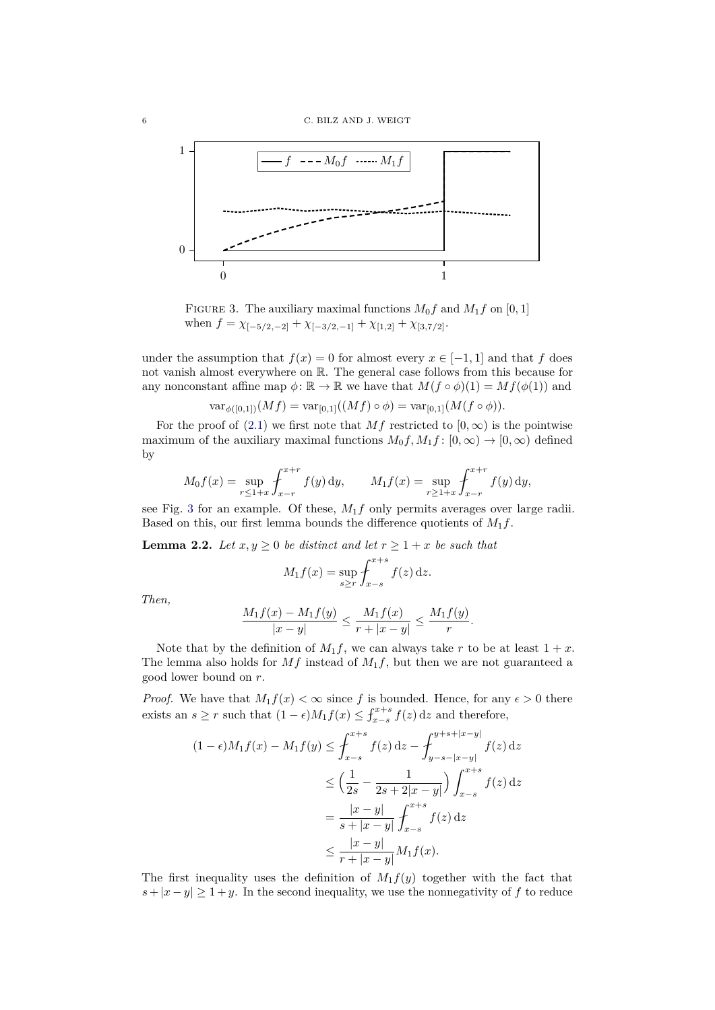

<span id="page-5-0"></span>FIGURE 3. The auxiliary maximal functions  $M_0 f$  and  $M_1 f$  on  $[0, 1]$ when  $f = \chi_{[-5/2,-2]} + \chi_{[-3/2,-1]} + \chi_{[1,2]} + \chi_{[3,7/2]}.$ 

under the assumption that  $f(x) = 0$  for almost every  $x \in [-1, 1]$  and that *f* does not vanish almost everywhere on R. The general case follows from this because for any nonconstant affine map  $\phi \colon \mathbb{R} \to \mathbb{R}$  we have that  $M(f \circ \phi)(1) = M(f(\phi(1))$  and

$$
\text{var}_{\phi([0,1])}(Mf) = \text{var}_{[0,1]}((Mf) \circ \phi) = \text{var}_{[0,1]}(M(f \circ \phi)).
$$

For the proof of [\(2.1\)](#page-4-2) we first note that  $Mf$  restricted to  $[0, \infty)$  is the pointwise maximum of the auxiliary maximal functions  $M_0 f, M_1 f: [0, \infty) \to [0, \infty)$  defined by

$$
M_0 f(x) = \sup_{r \le 1+x} \int_{x-r}^{x+r} f(y) \, dy, \qquad M_1 f(x) = \sup_{r \ge 1+x} \int_{x-r}^{x+r} f(y) \, dy,
$$

see Fig. [3](#page-5-0) for an example. Of these, *M*1*f* only permits averages over large radii. Based on this, our first lemma bounds the difference quotients of  $M_1 f$ .

<span id="page-5-1"></span>**Lemma 2.2.** *Let*  $x, y \ge 0$  *be distinct and let*  $r \ge 1 + x$  *be such that* 

$$
M_1 f(x) = \sup_{s \ge r} \int_{x-s}^{x+s} f(z) \, \mathrm{d}z.
$$

*Then,*

$$
\frac{M_1f(x) - M_1f(y)}{|x - y|} \le \frac{M_1f(x)}{r + |x - y|} \le \frac{M_1f(y)}{r}.
$$

Note that by the definition of  $M_1 f$ , we can always take *r* to be at least  $1 + x$ . The lemma also holds for  $Mf$  instead of  $M_1f$ , but then we are not guaranteed a good lower bound on *r*.

*Proof.* We have that  $M_1 f(x) < \infty$  since f is bounded. Hence, for any  $\epsilon > 0$  there exists an  $s \ge r$  such that  $(1 - \epsilon)M_1f(x) \le \int_{x-s}^{x+s} f(z) dz$  and therefore,

$$
(1 - \epsilon)M_1 f(x) - M_1 f(y) \le \int_{x-s}^{x+s} f(z) dz - \int_{y-s-|x-y|}^{y+s+|x-y|} f(z) dz
$$
  

$$
\le \left(\frac{1}{2s} - \frac{1}{2s+2|x-y|}\right) \int_{x-s}^{x+s} f(z) dz
$$
  

$$
= \frac{|x-y|}{s+|x-y|} \int_{x-s}^{x+s} f(z) dz
$$
  

$$
\le \frac{|x-y|}{r+|x-y|} M_1 f(x).
$$

The first inequality uses the definition of  $M_1 f(y)$  together with the fact that  $s + |x - y| \geq 1 + y$ . In the second inequality, we use the nonnegativity of f to reduce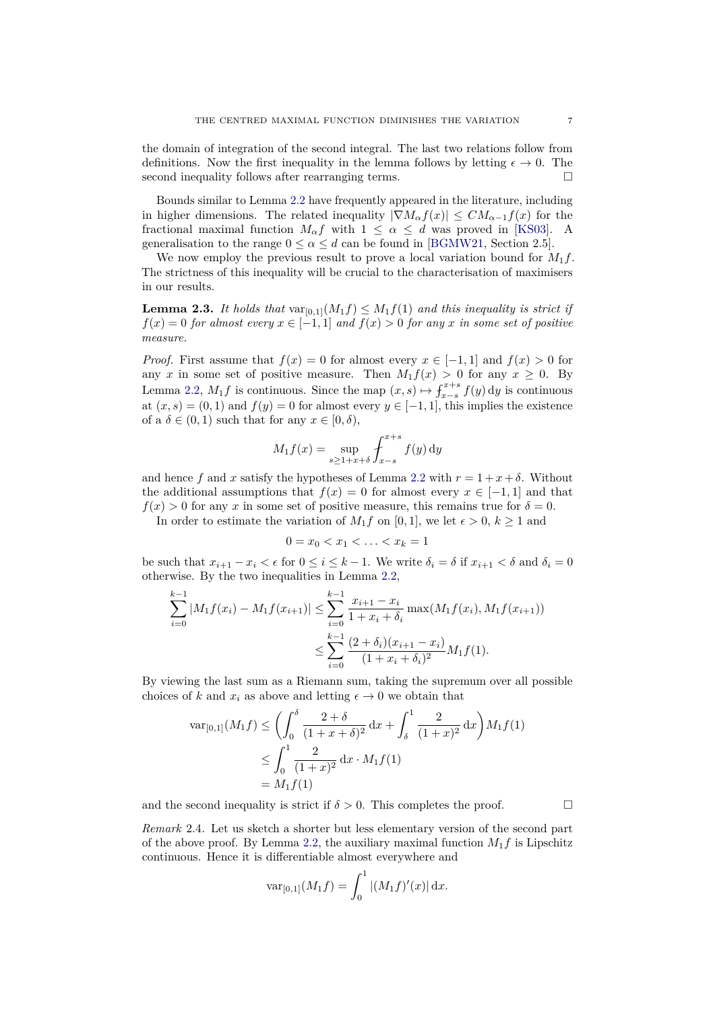<span id="page-6-1"></span>the domain of integration of the second integral. The last two relations follow from definitions. Now the first inequality in the lemma follows by letting  $\epsilon \to 0$ . The second inequality follows after rearranging terms.

Bounds similar to Lemma [2.2](#page-5-1) have frequently appeared in the literature, including in higher dimensions. The related inequality  $|\nabla M_{\alpha}f(x)| \leq CM_{\alpha-1}f(x)$  for the fractional maximal function  $M_{\alpha} f$  with  $1 \leq \alpha \leq d$  was proved in [\[KS03\]](#page-17-13). A generalisation to the range  $0 \le \alpha \le d$  can be found in [\[BGMW21,](#page-17-14) Section 2.5].

We now employ the previous result to prove a local variation bound for *M*1*f*. The strictness of this inequality will be crucial to the characterisation of maximisers in our results.

<span id="page-6-0"></span>**Lemma 2.3.** It holds that  $var_{[0,1]}(M_1 f) \leq M_1 f(1)$  and this inequality is strict if  $f(x) = 0$  *for almost every*  $x \in [-1,1]$  *and*  $f(x) > 0$  *for any x in some set of positive measure.*

*Proof.* First assume that  $f(x) = 0$  for almost every  $x \in [-1,1]$  and  $f(x) > 0$  for any *x* in some set of positive measure. Then  $M_1f(x) > 0$  for any  $x \ge 0$ . By Lemma [2.2,](#page-5-1)  $M_1 f$  is continuous. Since the map  $(x, s) \mapsto \int_{x-s}^{x+s} f(y) dy$  is continuous at  $(x, s) = (0, 1)$  and  $f(y) = 0$  for almost every  $y \in [-1, 1]$ , this implies the existence of a  $\delta \in (0,1)$  such that for any  $x \in [0,\delta)$ ,

$$
M_1 f(x) = \sup_{s \ge 1 + x + \delta} \int_{x-s}^{x+s} f(y) \, dy
$$

and hence *f* and *x* satisfy the hypotheses of Lemma [2.2](#page-5-1) with  $r = 1 + x + \delta$ . Without the additional assumptions that  $f(x) = 0$  for almost every  $x \in [-1, 1]$  and that  $f(x) > 0$  for any *x* in some set of positive measure, this remains true for  $\delta = 0$ .

In order to estimate the variation of  $M_1 f$  on [0, 1], we let  $\epsilon > 0$ ,  $k \ge 1$  and

$$
0 = x_0 < x_1 < \ldots < x_k = 1
$$

be such that  $x_{i+1} - x_i < \epsilon$  for  $0 \leq i \leq k-1$ . We write  $\delta_i = \delta$  if  $x_{i+1} < \delta$  and  $\delta_i = 0$ otherwise. By the two inequalities in Lemma [2.2,](#page-5-1)

$$
\sum_{i=0}^{k-1} |M_1 f(x_i) - M_1 f(x_{i+1})| \le \sum_{i=0}^{k-1} \frac{x_{i+1} - x_i}{1 + x_i + \delta_i} \max(M_1 f(x_i), M_1 f(x_{i+1}))
$$
  

$$
\le \sum_{i=0}^{k-1} \frac{(2 + \delta_i)(x_{i+1} - x_i)}{(1 + x_i + \delta_i)^2} M_1 f(1).
$$

By viewing the last sum as a Riemann sum, taking the supremum over all possible choices of *k* and  $x_i$  as above and letting  $\epsilon \to 0$  we obtain that

$$
\operatorname{var}_{[0,1]}(M_1 f) \le \left( \int_0^\delta \frac{2+\delta}{(1+x+\delta)^2} dx + \int_\delta^1 \frac{2}{(1+x)^2} dx \right) M_1 f(1)
$$
  

$$
\le \int_0^1 \frac{2}{(1+x)^2} dx \cdot M_1 f(1)
$$
  
= M\_1 f(1)

and the second inequality is strict if  $\delta > 0$ . This completes the proof.

*Remark* 2.4*.* Let us sketch a shorter but less elementary version of the second part of the above proof. By Lemma [2.2,](#page-5-1) the auxiliary maximal function  $M_1 f$  is Lipschitz continuous. Hence it is differentiable almost everywhere and

$$
\text{var}_{[0,1]}(M_1 f) = \int_0^1 |(M_1 f)'(x)| \, \mathrm{d}x.
$$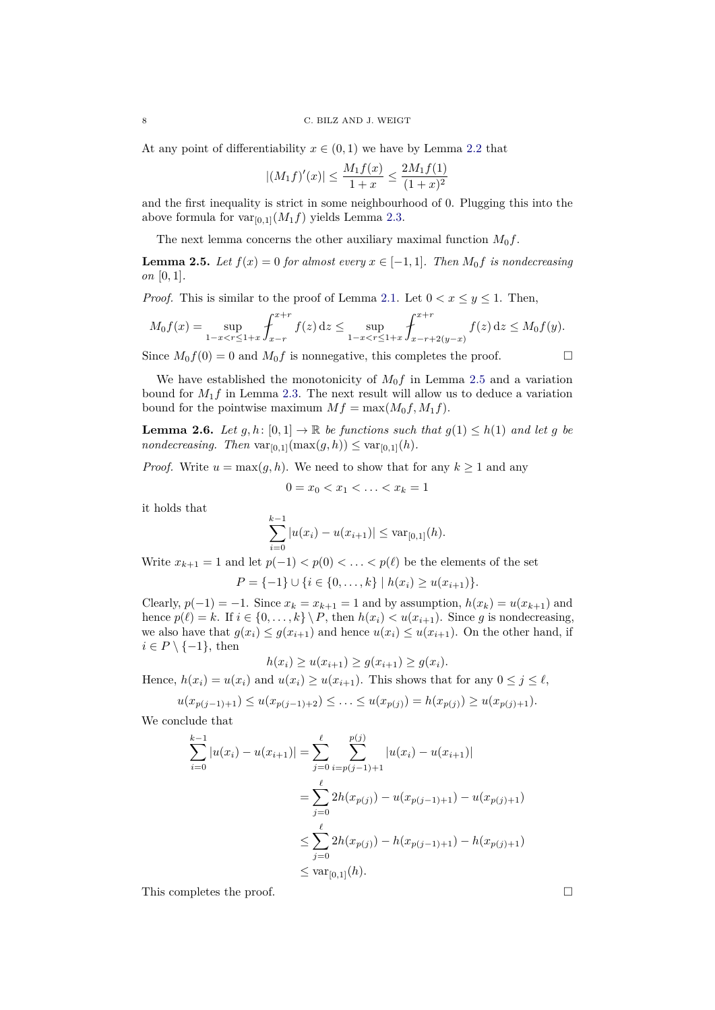At any point of differentiability  $x \in (0,1)$  we have by Lemma [2.2](#page-5-1) that

$$
|(M_1f)'(x)| \le \frac{M_1f(x)}{1+x} \le \frac{2M_1f(1)}{(1+x)^2}
$$

and the first inequality is strict in some neighbourhood of 0. Plugging this into the above formula for  $var_{[0,1]}(M_1f)$  yields Lemma [2.3.](#page-6-0)

The next lemma concerns the other auxiliary maximal function  $M_0 f$ .

<span id="page-7-0"></span>**Lemma 2.5.** *Let*  $f(x) = 0$  *for almost every*  $x \in [-1, 1]$ *. Then*  $M_0 f$  *is nondecreasing on* [0*,* 1]*.*

*Proof.* This is similar to the proof of Lemma [2.1.](#page-4-3) Let  $0 < x \leq y \leq 1$ . Then,

$$
M_0 f(x) = \sup_{1-x < r \le 1+x} \int_{x-r}^{x+r} f(z) dz \le \sup_{1-x < r \le 1+x} \int_{x-r+2(y-x)}^{x+r} f(z) dz \le M_0 f(y).
$$

Since  $M_0 f(0) = 0$  and  $M_0 f$  is nonnegative, this completes the proof.

$$
\Box
$$

We have established the monotonicity of  $M_0f$  in Lemma [2.5](#page-7-0) and a variation bound for  $M_1f$  in Lemma [2.3.](#page-6-0) The next result will allow us to deduce a variation bound for the pointwise maximum  $Mf = \max(M_0f, M_1f)$ .

<span id="page-7-1"></span>**Lemma 2.6.** *Let*  $g, h: [0,1] \to \mathbb{R}$  *be functions such that*  $g(1) \leq h(1)$  *and let*  $g$  *be nondecreasing.* Then  $var_{[0,1]}(max(g, h)) \leq var_{[0,1]}(h)$ .

*Proof.* Write  $u = \max(g, h)$ . We need to show that for any  $k \ge 1$  and any

$$
0 = x_0 < x_1 < \ldots < x_k = 1
$$

it holds that

$$
\sum_{i=0}^{k-1} |u(x_i) - u(x_{i+1})| \leq \text{var}_{[0,1]}(h).
$$

Write  $x_{k+1} = 1$  and let  $p(-1) < p(0) < \ldots < p(\ell)$  be the elements of the set

$$
P = \{-1\} \cup \{i \in \{0, \ldots, k\} \mid h(x_i) \ge u(x_{i+1})\}.
$$

Clearly,  $p(-1) = -1$ . Since  $x_k = x_{k+1} = 1$  and by assumption,  $h(x_k) = u(x_{k+1})$  and hence  $p(\ell) = k$ . If  $i \in \{0, ..., k\} \setminus P$ , then  $h(x_i) < u(x_{i+1})$ . Since *g* is nondecreasing, we also have that  $g(x_i) \leq g(x_{i+1})$  and hence  $u(x_i) \leq u(x_{i+1})$ . On the other hand, if  $i \in P \setminus \{-1\}$ , then

$$
h(x_i) \ge u(x_{i+1}) \ge g(x_{i+1}) \ge g(x_i).
$$

Hence,  $h(x_i) = u(x_i)$  and  $u(x_i) \geq u(x_{i+1})$ . This shows that for any  $0 \leq j \leq \ell$ ,

$$
u(x_{p(j-1)+1}) \le u(x_{p(j-1)+2}) \le \ldots \le u(x_{p(j)}) = h(x_{p(j)}) \ge u(x_{p(j)+1}).
$$

We conclude that

$$
\sum_{i=0}^{k-1} |u(x_i) - u(x_{i+1})| = \sum_{j=0}^{\ell} \sum_{i=p(j-1)+1}^{p(j)} |u(x_i) - u(x_{i+1})|
$$
  
= 
$$
\sum_{j=0}^{\ell} 2h(x_{p(j)}) - u(x_{p(j-1)+1}) - u(x_{p(j)+1})
$$
  

$$
\leq \sum_{j=0}^{\ell} 2h(x_{p(j)}) - h(x_{p(j-1)+1}) - h(x_{p(j)+1})
$$
  

$$
\leq \text{var}_{[0,1]}(h).
$$

This completes the proof.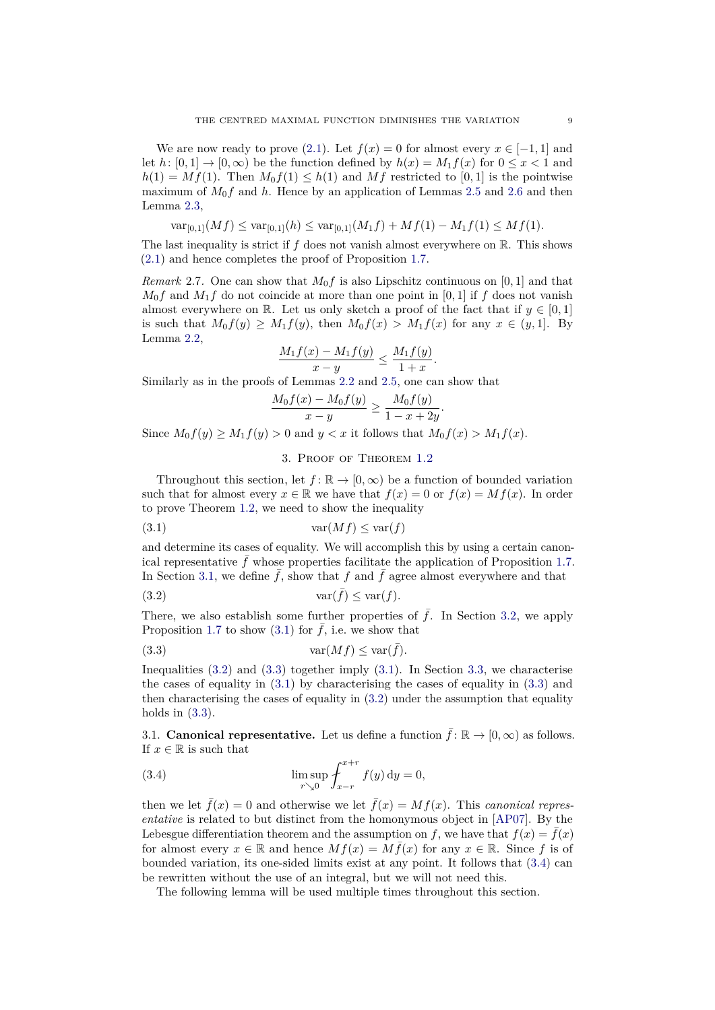<span id="page-8-7"></span>We are now ready to prove [\(2.1\)](#page-4-2). Let  $f(x) = 0$  for almost every  $x \in [-1, 1]$  and let *h*:  $[0,1] \rightarrow [0,\infty)$  be the function defined by  $h(x) = M_1 f(x)$  for  $0 \le x < 1$  and  $h(1) = Mf(1)$ . Then  $M_0f(1) \leq h(1)$  and Mf restricted to [0,1] is the pointwise maximum of  $M_0 f$  and h. Hence by an application of Lemmas [2.5](#page-7-0) and [2.6](#page-7-1) and then Lemma [2.3,](#page-6-0)

$$
\text{var}_{[0,1]}(Mf) \le \text{var}_{[0,1]}(h) \le \text{var}_{[0,1]}(M_1f) + Mf(1) - M_1f(1) \le Mf(1).
$$

The last inequality is strict if  $f$  does not vanish almost everywhere on  $\mathbb{R}$ . This shows [\(2.1\)](#page-4-2) and hence completes the proof of Proposition [1.7.](#page-3-3)

*Remark* 2.7*.* One can show that *M*0*f* is also Lipschitz continuous on [0*,* 1] and that  $M_0 f$  and  $M_1 f$  do not coincide at more than one point in [0, 1] if  $f$  does not vanish almost everywhere on R. Let us only sketch a proof of the fact that if  $y \in [0,1]$ is such that  $M_0 f(y) \geq M_1 f(y)$ , then  $M_0 f(x) > M_1 f(x)$  for any  $x \in (y, 1]$ . By Lemma [2.2,](#page-5-1)

$$
\frac{M_1f(x) - M_1f(y)}{x - y} \le \frac{M_1f(y)}{1 + x}.
$$

Similarly as in the proofs of Lemmas [2.2](#page-5-1) and [2.5,](#page-7-0) one can show that

$$
\frac{M_0 f(x) - M_0 f(y)}{x - y} \ge \frac{M_0 f(y)}{1 - x + 2y}
$$

*.*

Since  $M_0 f(y) \geq M_1 f(y) > 0$  and  $y < x$  it follows that  $M_0 f(x) > M_1 f(x)$ .

## <span id="page-8-3"></span><span id="page-8-2"></span>3. Proof of Theorem [1.2](#page-0-2)

<span id="page-8-0"></span>Throughout this section, let  $f: \mathbb{R} \to [0, \infty)$  be a function of bounded variation such that for almost every  $x \in \mathbb{R}$  we have that  $f(x) = 0$  or  $f(x) = Mf(x)$ . In order to prove Theorem [1.2,](#page-0-2) we need to show the inequality

(3.1) var(*Mf*) ≤ var(*f*)

and determine its cases of equality. We will accomplish this by using a certain canon-ical representative f whose properties facilitate the application of Proposition [1.7.](#page-3-3) In Section [3.1,](#page-8-1) we define  $\bar{f}$ , show that  $f$  and  $\bar{f}$  agree almost everywhere and that

(3.2) var( ¯*f*) ≤ var(*f*)*.*

There, we also establish some further properties of  $\bar{f}$ . In Section [3.2,](#page-10-0) we apply Proposition [1.7](#page-3-3) to show [\(3.1\)](#page-8-2) for  $\bar{f}$ , i.e. we show that

<span id="page-8-4"></span>
$$
(3.3) \t\t var(Mf) \leq \text{var}(\bar{f}).
$$

Inequalities  $(3.2)$  and  $(3.3)$  together imply  $(3.1)$ . In Section [3.3,](#page-10-1) we characterise the cases of equality in [\(3.1\)](#page-8-2) by characterising the cases of equality in [\(3.3\)](#page-8-4) and then characterising the cases of equality in [\(3.2\)](#page-8-3) under the assumption that equality holds in  $(3.3)$ .

<span id="page-8-1"></span>3.1. **Canonical representative.** Let us define a function  $\bar{f}$ :  $\mathbb{R} \to [0, \infty)$  as follows. If  $x \in \mathbb{R}$  is such that

<span id="page-8-5"></span>(3.4) 
$$
\limsup_{r \searrow 0} \int_{x-r}^{x+r} f(y) dy = 0,
$$

then we let  $\bar{f}(x) = 0$  and otherwise we let  $\bar{f}(x) = Mf(x)$ . This *canonical representative* is related to but distinct from the homonymous object in [\[AP07\]](#page-17-5). By the Lebesgue differentiation theorem and the assumption on *f*, we have that  $f(x) = \overline{f}(x)$ for almost every  $x \in \mathbb{R}$  and hence  $Mf(x) = M\bar{f}(x)$  for any  $x \in \mathbb{R}$ . Since f is of bounded variation, its one-sided limits exist at any point. It follows that [\(3.4\)](#page-8-5) can be rewritten without the use of an integral, but we will not need this.

<span id="page-8-6"></span>The following lemma will be used multiple times throughout this section.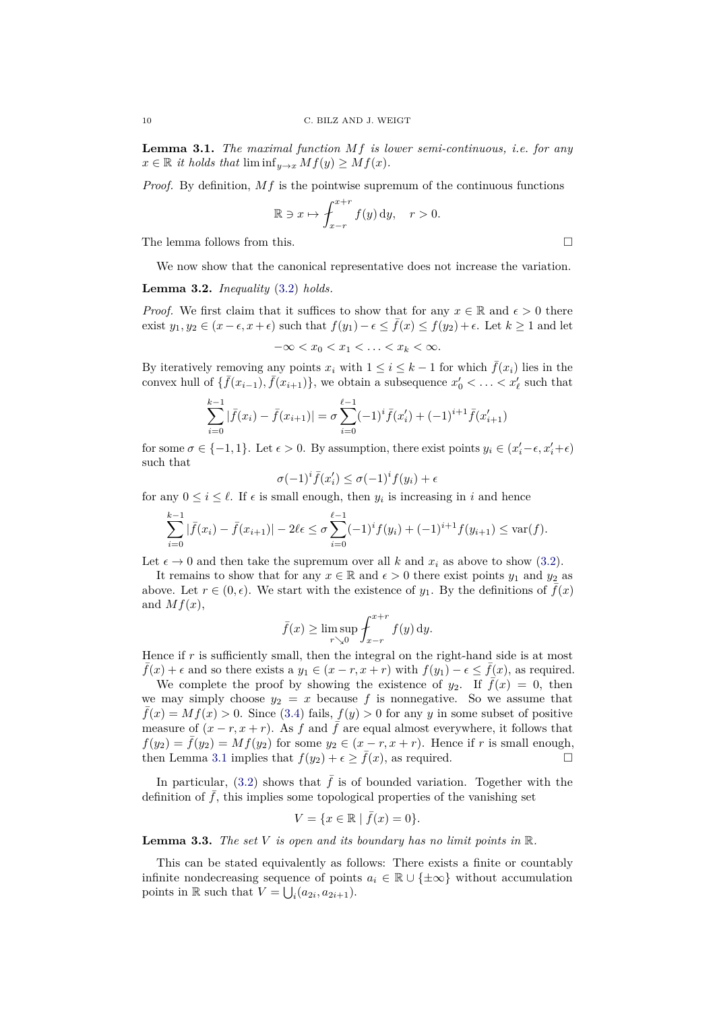**Lemma 3.1.** *The maximal function Mf is lower semi-continuous, i.e. for any*  $x \in \mathbb{R}$  *it holds that* lim  $\inf_{y \to x} Mf(y) \geq Mf(x)$ *.* 

*Proof.* By definition, *Mf* is the pointwise supremum of the continuous functions

$$
\mathbb{R} \ni x \mapsto \int_{x-r}^{x+r} f(y) \, dy, \quad r > 0.
$$

The lemma follows from this.  $\square$ 

We now show that the canonical representative does not increase the variation.

**Lemma 3.2.** *Inequality* [\(3.2\)](#page-8-3) *holds.*

*Proof.* We first claim that it suffices to show that for any  $x \in \mathbb{R}$  and  $\epsilon > 0$  there exist  $y_1, y_2 \in (x - \epsilon, x + \epsilon)$  such that  $f(y_1) - \epsilon \leq \overline{f}(x) \leq f(y_2) + \epsilon$ . Let  $k \geq 1$  and let

$$
-\infty < x_0 < x_1 < \ldots < x_k < \infty.
$$

By iteratively removing any points  $x_i$  with  $1 \leq i \leq k-1$  for which  $\bar{f}(x_i)$  lies in the convex hull of  $\{\bar{f}(x_{i-1}), \bar{f}(x_{i+1})\}$ , we obtain a subsequence  $x'_0 < \ldots < x'_{\ell}$  such that

$$
\sum_{i=0}^{k-1} |\bar{f}(x_i) - \bar{f}(x_{i+1})| = \sigma \sum_{i=0}^{\ell-1} (-1)^i \bar{f}(x'_i) + (-1)^{i+1} \bar{f}(x'_{i+1})
$$

for some  $\sigma \in \{-1, 1\}$ . Let  $\epsilon > 0$ . By assumption, there exist points  $y_i \in (x_i' - \epsilon, x_i' + \epsilon)$ such that

$$
\sigma(-1)^i \bar{f}(x_i') \leq \sigma(-1)^i f(y_i) + \epsilon
$$

for any  $0 \leq i \leq \ell$ . If  $\epsilon$  is small enough, then  $y_i$  is increasing in *i* and hence

$$
\sum_{i=0}^{k-1} |\bar{f}(x_i) - \bar{f}(x_{i+1})| - 2\ell\epsilon \le \sigma \sum_{i=0}^{\ell-1} (-1)^i f(y_i) + (-1)^{i+1} f(y_{i+1}) \le \text{var}(f).
$$

Let  $\epsilon \to 0$  and then take the supremum over all k and  $x_i$  as above to show [\(3.2\)](#page-8-3).

It remains to show that for any  $x \in \mathbb{R}$  and  $\epsilon > 0$  there exist points  $y_1$  and  $y_2$  as above. Let  $r \in (0, \epsilon)$ . We start with the existence of  $y_1$ . By the definitions of  $\bar{f}(x)$ and  $Mf(x)$ ,

$$
\bar{f}(x) \ge \limsup_{r \searrow 0} \int_{x-r}^{x+r} f(y) \, dy.
$$

Hence if r is sufficiently small, then the integral on the right-hand side is at most  $f(x) + \epsilon$  and so there exists a  $y_1 \in (x - r, x + r)$  with  $f(y_1) - \epsilon \le f(x)$ , as required.

We complete the proof by showing the existence of  $y_2$ . If  $\bar{f}(x) = 0$ , then we may simply choose  $y_2 = x$  because f is nonnegative. So we assume that  $\bar{f}(x) = Mf(x) > 0$ . Since [\(3.4\)](#page-8-5) fails,  $f(y) > 0$  for any *y* in some subset of positive measure of  $(x - r, x + r)$ . As *f* and  $\overline{f}$  are equal almost everywhere, it follows that  $f(y_2) = \overline{f}(y_2) = Mf(y_2)$  for some  $y_2 \in (x - r, x + r)$ . Hence if *r* is small enough, then Lemma [3.1](#page-8-6) implies that  $f(y_2) + \epsilon \geq \bar{f}(x)$ , as required.

In particular, [\(3.2\)](#page-8-3) shows that  $\bar{f}$  is of bounded variation. Together with the definition of  $f$ , this implies some topological properties of the vanishing set

$$
V = \{ x \in \mathbb{R} \mid \bar{f}(x) = 0 \}.
$$

<span id="page-9-0"></span>**Lemma 3.3.** *The set V is open and its boundary has no limit points in* R*.*

This can be stated equivalently as follows: There exists a finite or countably infinite nondecreasing sequence of points  $a_i \in \mathbb{R} \cup \{\pm \infty\}$  without accumulation points in  $\mathbb R$  such that  $V = \bigcup_i (a_{2i}, a_{2i+1}).$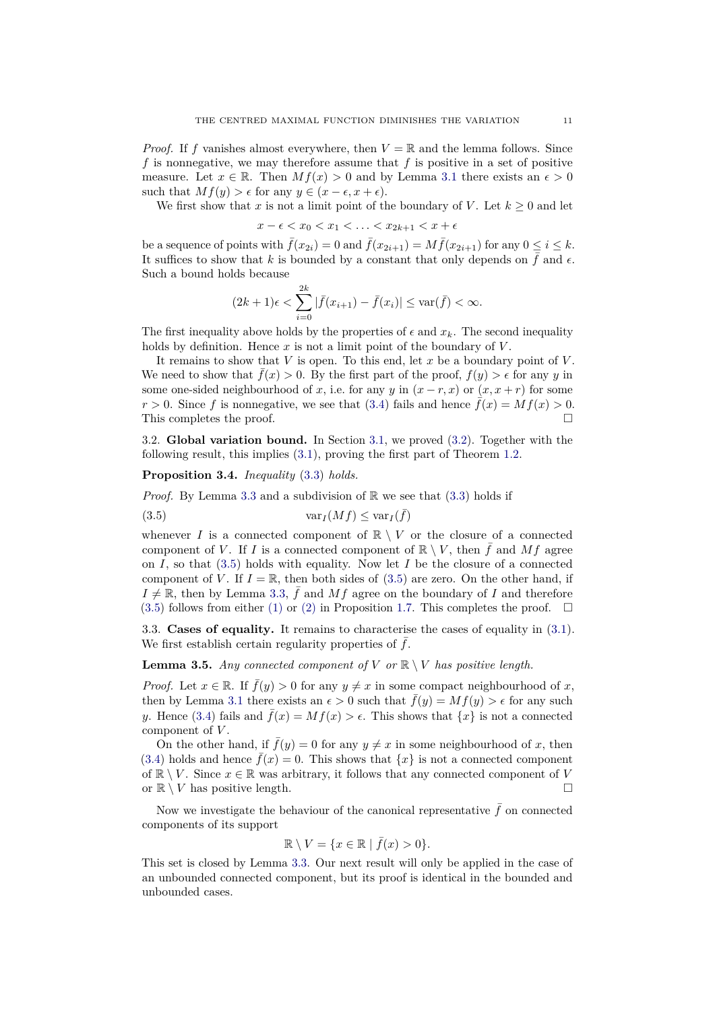*Proof.* If *f* vanishes almost everywhere, then  $V = \mathbb{R}$  and the lemma follows. Since *f* is nonnegative, we may therefore assume that *f* is positive in a set of positive measure. Let  $x \in \mathbb{R}$ . Then  $Mf(x) > 0$  and by Lemma [3.1](#page-8-6) there exists an  $\epsilon > 0$ such that  $Mf(y) > \epsilon$  for any  $y \in (x - \epsilon, x + \epsilon)$ .

We first show that *x* is not a limit point of the boundary of *V*. Let  $k \geq 0$  and let

$$
x-\epsilon < x_0 < x_1 < \ldots < x_{2k+1} < x+\epsilon
$$

be a sequence of points with  $\bar{f}(x_{2i}) = 0$  and  $\bar{f}(x_{2i+1}) = M\bar{f}(x_{2i+1})$  for any  $0 \le i \le k$ . It suffices to show that *k* is bounded by a constant that only depends on  $\bar{f}$  and  $\epsilon$ . Such a bound holds because

$$
(2k+1)\epsilon < \sum_{i=0}^{2k} |\bar{f}(x_{i+1}) - \bar{f}(x_i)| \le \text{var}(\bar{f}) < \infty.
$$

The first inequality above holds by the properties of  $\epsilon$  and  $x_k$ . The second inequality holds by definition. Hence *x* is not a limit point of the boundary of *V* .

It remains to show that *V* is open. To this end, let *x* be a boundary point of *V* . We need to show that  $\bar{f}(x) > 0$ . By the first part of the proof,  $f(y) > \epsilon$  for any *y* in some one-sided neighbourhood of *x*, i.e. for any *y* in  $(x - r, x)$  or  $(x, x + r)$  for some  $r > 0$ . Since f is nonnegative, we see that [\(3.4\)](#page-8-5) fails and hence  $\bar{f}(x) = Mf(x) > 0$ . This completes the proof.

<span id="page-10-0"></span>3.2. **Global variation bound.** In Section [3.1,](#page-8-1) we proved [\(3.2\)](#page-8-3). Together with the following result, this implies [\(3.1\)](#page-8-2), proving the first part of Theorem [1.2.](#page-0-2)

<span id="page-10-4"></span>**Proposition 3.4.** *Inequality* [\(3.3\)](#page-8-4) *holds.*

*Proof.* By Lemma [3.3](#page-9-0) and a subdivision of  $\mathbb{R}$  we see that  $(3.3)$  holds if

<span id="page-10-2"></span>(3.5) 
$$
\text{var}_I(Mf) \leq \text{var}_I(\bar{f})
$$

whenever *I* is a connected component of  $\mathbb{R} \setminus V$  or the closure of a connected component of *V*. If *I* is a connected component of  $\mathbb{R} \setminus V$ , then  $\bar{f}$  and Mf agree on *I*, so that [\(3.5\)](#page-10-2) holds with equality. Now let *I* be the closure of a connected component of *V*. If  $I = \mathbb{R}$ , then both sides of [\(3.5\)](#page-10-2) are zero. On the other hand, if  $I \neq \mathbb{R}$ , then by Lemma [3.3,](#page-9-0)  $\bar{f}$  and  $Mf$  agree on the boundary of *I* and therefore [\(3.5\)](#page-10-2) follows from either [\(1\)](#page-3-1) or [\(2\)](#page-3-2) in Proposition [1.7.](#page-3-3) This completes the proof.  $\Box$ 

<span id="page-10-1"></span>3.3. **Cases of equality.** It remains to characterise the cases of equality in [\(3.1\)](#page-8-2). We first establish certain regularity properties of  $f$ .

<span id="page-10-5"></span>**Lemma 3.5.** *Any connected component of*  $V$  *or*  $\mathbb{R} \setminus V$  *has positive length.* 

*Proof.* Let  $x \in \mathbb{R}$ . If  $\bar{f}(y) > 0$  for any  $y \neq x$  in some compact neighbourhood of x, then by Lemma [3.1](#page-8-6) there exists an  $\epsilon > 0$  such that  $\bar{f}(y) = Mf(y) > \epsilon$  for any such *y*. Hence [\(3.4\)](#page-8-5) fails and  $\bar{f}(x) = Mf(x) > \epsilon$ . This shows that  $\{x\}$  is not a connected component of *V* .

On the other hand, if  $\bar{f}(y) = 0$  for any  $y \neq x$  in some neighbourhood of x, then [\(3.4\)](#page-8-5) holds and hence  $\bar{f}(x) = 0$ . This shows that  $\{x\}$  is not a connected component of  $\mathbb{R} \setminus V$ . Since  $x \in \mathbb{R}$  was arbitrary, it follows that any connected component of *V* or  $\mathbb{R} \setminus V$  has positive length.

Now we investigate the behaviour of the canonical representative  $\bar{f}$  on connected components of its support

$$
\mathbb{R} \setminus V = \{ x \in \mathbb{R} \mid \bar{f}(x) > 0 \}.
$$

<span id="page-10-3"></span>This set is closed by Lemma [3.3.](#page-9-0) Our next result will only be applied in the case of an unbounded connected component, but its proof is identical in the bounded and unbounded cases.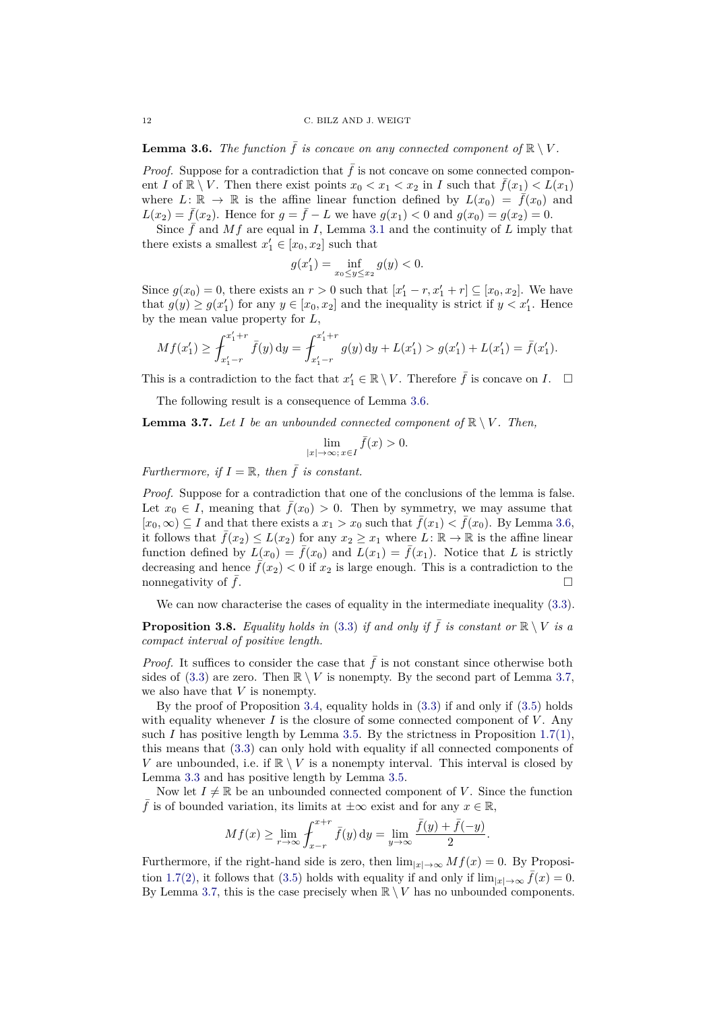**Lemma 3.6.** *The function*  $\bar{f}$  *is concave on any connected component of*  $\mathbb{R} \setminus V$ *.* 

*Proof.* Suppose for a contradiction that  $\bar{f}$  is not concave on some connected component *I* of  $\mathbb{R} \setminus V$ . Then there exist points  $x_0 < x_1 < x_2$  in *I* such that  $\bar{f}(x_1) < L(x_1)$ where  $L: \mathbb{R} \to \mathbb{R}$  is the affine linear function defined by  $L(x_0) = \bar{f}(x_0)$  and *L*(*x*<sub>2</sub>) =  $\bar{f}(x_2)$ . Hence for  $g = \bar{f} - L$  we have  $g(x_1) < 0$  and  $g(x_0) = g(x_2) = 0$ .

Since  $\bar{f}$  and  $Mf$  are equal in *I*, Lemma [3.1](#page-8-6) and the continuity of *L* imply that there exists a smallest  $x'_1 \in [x_0, x_2]$  such that

$$
g(x_1') = \inf_{x_0 \le y \le x_2} g(y) < 0.
$$

Since  $g(x_0) = 0$ , there exists an  $r > 0$  such that  $[x'_1 - r, x'_1 + r] \subseteq [x_0, x_2]$ . We have that  $g(y) \ge g(x_1')$  for any  $y \in [x_0, x_2]$  and the inequality is strict if  $y < x_1'$ . Hence by the mean value property for *L*,

$$
Mf(x_1') \ge \int_{x_1'-r}^{x_1'+r} \bar{f}(y) \, dy = \int_{x_1'-r}^{x_1'+r} g(y) \, dy + L(x_1') > g(x_1') + L(x_1') = \bar{f}(x_1').
$$

This is a contradiction to the fact that  $x'_1 \in \mathbb{R} \setminus V$ . Therefore  $\bar{f}$  is concave on *I*.  $\Box$ 

The following result is a consequence of Lemma [3.6.](#page-10-3)

<span id="page-11-0"></span>**Lemma 3.7.** *Let I be an unbounded connected component of*  $\mathbb{R} \setminus V$ *. Then,* 

$$
\lim_{|x|\to\infty;\,x\in I}\bar{f}(x)>0.
$$

*Furthermore, if*  $I = \mathbb{R}$ *, then*  $\bar{f}$  *is constant.* 

*Proof.* Suppose for a contradiction that one of the conclusions of the lemma is false. Let  $x_0 \in I$ , meaning that  $\bar{f}(x_0) > 0$ . Then by symmetry, we may assume that  $[x_0, ∞) ⊆ I$  and that there exists a  $x_1 > x_0$  such that  $\bar{f}(x_1) < \bar{f}(x_0)$ . By Lemma [3.6,](#page-10-3) it follows that  $\bar{f}(x_2) \leq L(x_2)$  for any  $x_2 \geq x_1$  where  $L: \mathbb{R} \to \mathbb{R}$  is the affine linear function defined by  $L(x_0) = \bar{f}(x_0)$  and  $L(x_1) = \bar{f}(x_1)$ . Notice that *L* is strictly decreasing and hence  $\bar{f}(x_2) < 0$  if  $x_2$  is large enough. This is a contradiction to the nonnegativity of  $\bar{f}$ .

We can now characterise the cases of equality in the intermediate inequality  $(3.3)$ .

<span id="page-11-1"></span>**Proposition 3.8.** *Equality holds in* [\(3.3\)](#page-8-4) *if and only if*  $\bar{f}$  *is constant or*  $\mathbb{R} \setminus V$  *is a compact interval of positive length.*

*Proof.* It suffices to consider the case that  $\bar{f}$  is not constant since otherwise both sides of  $(3.3)$  are zero. Then  $\mathbb{R} \setminus V$  is nonempty. By the second part of Lemma [3.7,](#page-11-0) we also have that *V* is nonempty.

By the proof of Proposition [3.4,](#page-10-4) equality holds in [\(3.3\)](#page-8-4) if and only if [\(3.5\)](#page-10-2) holds with equality whenever  $I$  is the closure of some connected component of  $V$ . Any such *I* has positive length by Lemma [3.5.](#page-10-5) By the strictness in Proposition [1.7](#page-3-3)[\(1\),](#page-3-1) this means that [\(3.3\)](#page-8-4) can only hold with equality if all connected components of *V* are unbounded, i.e. if  $\mathbb{R} \setminus V$  is a nonempty interval. This interval is closed by Lemma [3.3](#page-9-0) and has positive length by Lemma [3.5.](#page-10-5)

Now let  $I \neq \mathbb{R}$  be an unbounded connected component of *V*. Since the function f is of bounded variation, its limits at  $\pm \infty$  exist and for any  $x \in \mathbb{R}$ ,

$$
Mf(x) \ge \lim_{r \to \infty} \int_{x-r}^{x+r} \bar{f}(y) \, \mathrm{d}y = \lim_{y \to \infty} \frac{\bar{f}(y) + \bar{f}(-y)}{2}.
$$

Furthermore, if the right-hand side is zero, then  $\lim_{|x|\to\infty} Mf(x) = 0$ . By Proposi-tion [1.7](#page-3-3)[\(2\),](#page-3-2) it follows that [\(3.5\)](#page-10-2) holds with equality if and only if  $\lim_{|x|\to\infty} f(x) = 0$ . By Lemma [3.7,](#page-11-0) this is the case precisely when  $\mathbb{R} \setminus V$  has no unbounded components.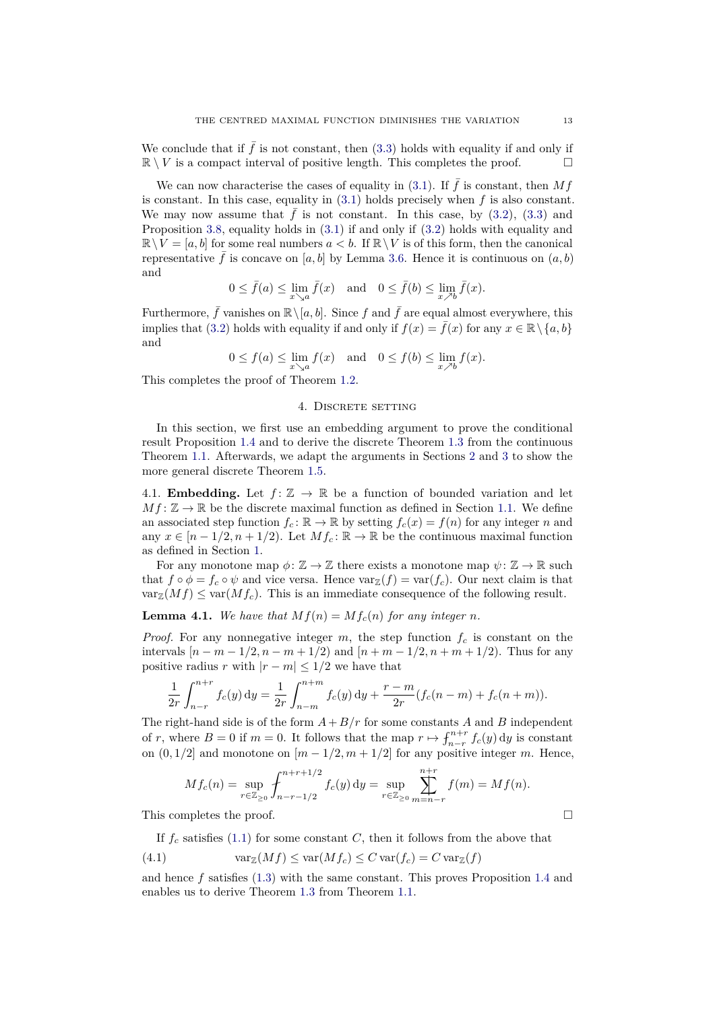We conclude that if  $\bar{f}$  is not constant, then [\(3.3\)](#page-8-4) holds with equality if and only if  $\mathbb{R} \setminus V$  is a compact interval of positive length. This completes the proof.

We can now characterise the cases of equality in [\(3.1\)](#page-8-2). If  $\bar{f}$  is constant, then Mf is constant. In this case, equality in  $(3.1)$  holds precisely when  $f$  is also constant. We may now assume that  $\bar{f}$  is not constant. In this case, by [\(3.2\)](#page-8-3), [\(3.3\)](#page-8-4) and Proposition [3.8,](#page-11-1) equality holds in [\(3.1\)](#page-8-2) if and only if [\(3.2\)](#page-8-3) holds with equality and  $\mathbb{R}\setminus V = [a, b]$  for some real numbers  $a < b$ . If  $\mathbb{R}\setminus V$  is of this form, then the canonical representative f is concave on [a, b] by Lemma [3.6.](#page-10-3) Hence it is continuous on  $(a, b)$ and

$$
0 \le \bar{f}(a) \le \lim_{x \searrow a} \bar{f}(x) \quad \text{and} \quad 0 \le \bar{f}(b) \le \lim_{x \nearrow b} \bar{f}(x).
$$

Furthermore,  $\bar{f}$  vanishes on  $\mathbb{R}\setminus [a, b]$ . Since  $f$  and  $\bar{f}$  are equal almost everywhere, this implies that [\(3.2\)](#page-8-3) holds with equality if and only if  $f(x) = \bar{f}(x)$  for any  $x \in \mathbb{R} \setminus \{a, b\}$ and

$$
0 \le f(a) \le \lim_{x \searrow a} f(x) \quad \text{and} \quad 0 \le f(b) \le \lim_{x \nearrow b} f(x).
$$

This completes the proof of Theorem [1.2.](#page-0-2)

#### 4. DISCRETE SETTING

In this section, we first use an embedding argument to prove the conditional result Proposition [1.4](#page-2-4) and to derive the discrete Theorem [1.3](#page-1-2) from the continuous Theorem [1.1.](#page-0-1) Afterwards, we adapt the arguments in Sections [2](#page-4-1) and [3](#page-8-0) to show the more general discrete Theorem [1.5.](#page-2-1)

<span id="page-12-0"></span>4.1. **Embedding.** Let  $f: \mathbb{Z} \to \mathbb{R}$  be a function of bounded variation and let  $Mf: \mathbb{Z} \to \mathbb{R}$  be the discrete maximal function as defined in Section [1.1.](#page-1-3) We define an associated step function  $f_c : \mathbb{R} \to \mathbb{R}$  by setting  $f_c(x) = f(n)$  for any integer *n* and any  $x \in [n-1/2, n+1/2)$ . Let  $Mf_c: \mathbb{R} \to \mathbb{R}$  be the continuous maximal function as defined in Section [1.](#page-0-3)

For any monotone map  $\phi: \mathbb{Z} \to \mathbb{Z}$  there exists a monotone map  $\psi: \mathbb{Z} \to \mathbb{R}$  such that  $f \circ \phi = f_c \circ \psi$  and vice versa. Hence  $var_{\mathbb{Z}}(f) = var(f_c)$ . Our next claim is that  $var_{\mathbb{Z}}(Mf) \leq var(Mf_c)$ . This is an immediate consequence of the following result.

**Lemma 4.1.** We have that  $Mf(n) = Mf_c(n)$  for any integer *n*.

*Proof.* For any nonnegative integer  $m$ , the step function  $f_c$  is constant on the intervals  $[n - m - 1/2, n - m + 1/2]$  and  $[n + m - 1/2, n + m + 1/2]$ . Thus for any positive radius *r* with  $|r - m| \leq 1/2$  we have that

$$
\frac{1}{2r} \int_{n-r}^{n+r} f_c(y) dy = \frac{1}{2r} \int_{n-m}^{n+m} f_c(y) dy + \frac{r-m}{2r} (f_c(n-m) + f_c(n+m)).
$$

The right-hand side is of the form  $A + B/r$  for some constants *A* and *B* independent of *r*, where  $B = 0$  if  $m = 0$ . It follows that the map  $r \mapsto \int_{n-r}^{n+r} f_c(y) dy$  is constant on  $(0, 1/2]$  and monotone on  $[m - 1/2, m + 1/2]$  for any positive integer *m*. Hence,

$$
Mf_c(n) = \sup_{r \in \mathbb{Z}_{\geq 0}} \int_{n-r-1/2}^{n+r+1/2} f_c(y) \, \mathrm{d}y = \sup_{r \in \mathbb{Z}_{\geq 0}} \sum_{m=n-r}^{n+r} f(m) = Mf(n).
$$

This completes the proof.

<span id="page-12-1"></span>If  $f_c$  satisfies [\(1.1\)](#page-0-0) for some constant *C*, then it follows from the above that

(4.1) 
$$
\operatorname{var}_{\mathbb{Z}}(Mf) \le \operatorname{var}(Mf_c) \le C \operatorname{var}(f_c) = C \operatorname{var}_{\mathbb{Z}}(f)
$$

and hence *f* satisfies [\(1.3\)](#page-1-1) with the same constant. This proves Proposition [1.4](#page-2-4) and enables us to derive Theorem [1.3](#page-1-2) from Theorem [1.1.](#page-0-1)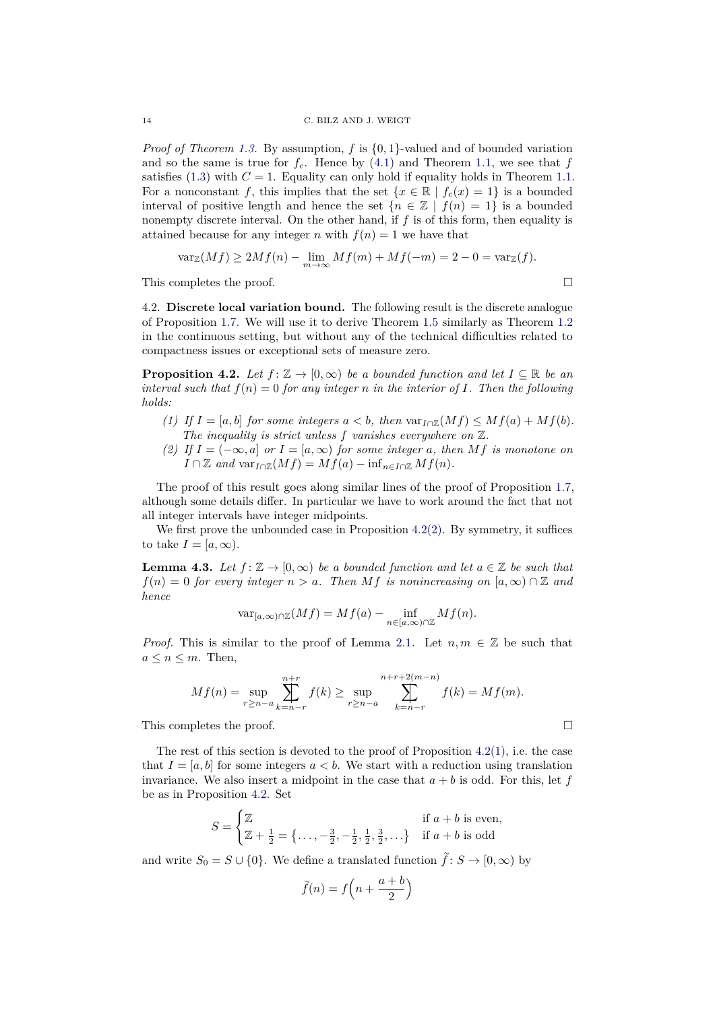*Proof of Theorem [1.3.](#page-1-2)* By assumption,  $f$  is  $\{0, 1\}$ -valued and of bounded variation and so the same is true for  $f_c$ . Hence by  $(4.1)$  and Theorem [1.1,](#page-0-1) we see that  $f$ satisfies  $(1.3)$  with  $C = 1$ . Equality can only hold if equality holds in Theorem [1.1.](#page-0-1) For a nonconstant f, this implies that the set  $\{x \in \mathbb{R} \mid f_c(x) = 1\}$  is a bounded interval of positive length and hence the set  ${n \in \mathbb{Z} \mid f(n) = 1}$  is a bounded nonempty discrete interval. On the other hand, if *f* is of this form, then equality is attained because for any integer *n* with  $f(n) = 1$  we have that

$$
\text{var}_{\mathbb{Z}}(Mf) \ge 2Mf(n) - \lim_{m \to \infty} Mf(m) + Mf(-m) = 2 - 0 = \text{var}_{\mathbb{Z}}(f).
$$

This completes the proof.

<span id="page-13-0"></span>4.2. **Discrete local variation bound.** The following result is the discrete analogue of Proposition [1.7.](#page-3-3) We will use it to derive Theorem [1.5](#page-2-1) similarly as Theorem [1.2](#page-0-2) in the continuous setting, but without any of the technical difficulties related to compactness issues or exceptional sets of measure zero.

<span id="page-13-1"></span>**Proposition 4.2.** *Let*  $f: \mathbb{Z} \to [0, \infty)$  *be a bounded function and let*  $I \subseteq \mathbb{R}$  *be an interval such that*  $f(n) = 0$  *for any integer n in the interior of I. Then the following holds:*

- <span id="page-13-3"></span>*(1) If*  $I = [a, b]$  *for some integers*  $a < b$ , *then*  $var_{I \cap \mathbb{Z}}(Mf) \leq Mf(a) + Mf(b)$ . *The inequality is strict unless f vanishes everywhere on* Z*.*
- <span id="page-13-2"></span>*(2)* If  $I = (−∞, a]$  or  $I = [a, ∞)$  for some integer a, then Mf is monotone on  $I \cap \mathbb{Z}$  *and*  $\text{var}_{I \cap \mathbb{Z}}(Mf) = Mf(a) - \inf_{n \in I \cap \mathbb{Z}} Mf(n)$ .

The proof of this result goes along similar lines of the proof of Proposition [1.7,](#page-3-3) although some details differ. In particular we have to work around the fact that not all integer intervals have integer midpoints.

We first prove the unbounded case in Proposition  $4.2(2)$  $4.2(2)$ . By symmetry, it suffices to take  $I = [a, \infty)$ .

<span id="page-13-4"></span>**Lemma 4.3.** Let  $f: \mathbb{Z} \to [0, \infty)$  be a bounded function and let  $a \in \mathbb{Z}$  be such that  $f(n) = 0$  *for every integer*  $n > a$ *. Then Mf is nonincreasing on* [ $a, \infty$ ] ∩ Z *and hence*

$$
\text{var}_{[a,\infty)\cap\mathbb{Z}}(Mf)=Mf(a)-\inf_{n\in[a,\infty)\cap\mathbb{Z}}Mf(n).
$$

*Proof.* This is similar to the proof of Lemma [2.1.](#page-4-3) Let  $n, m \in \mathbb{Z}$  be such that  $a \leq n \leq m$ . Then,

$$
Mf(n) = \sup_{r \ge n-a} \sum_{k=n-r}^{n+r} f(k) \ge \sup_{r \ge n-a} \sum_{k=n-r}^{n+r+2(m-n)} f(k) = Mf(m).
$$

This completes the proof.

The rest of this section is devoted to the proof of Proposition  $4.2(1)$  $4.2(1)$ , i.e. the case that  $I = [a, b]$  for some integers  $a < b$ . We start with a reduction using translation invariance. We also insert a midpoint in the case that  $a + b$  is odd. For this, let  $f$ be as in Proposition [4.2.](#page-13-1) Set

$$
S = \begin{cases} \mathbb{Z} & \text{if } a+b \text{ is even,} \\ \mathbb{Z} + \frac{1}{2} = \{ \dots, -\frac{3}{2}, -\frac{1}{2}, \frac{1}{2}, \frac{3}{2}, \dots \} & \text{if } a+b \text{ is odd} \end{cases}
$$

and write  $S_0 = S \cup \{0\}$ . We define a translated function  $\tilde{f}: S \to [0, \infty)$  by

$$
\widetilde{f}(n) = f\left(n + \frac{a+b}{2}\right)
$$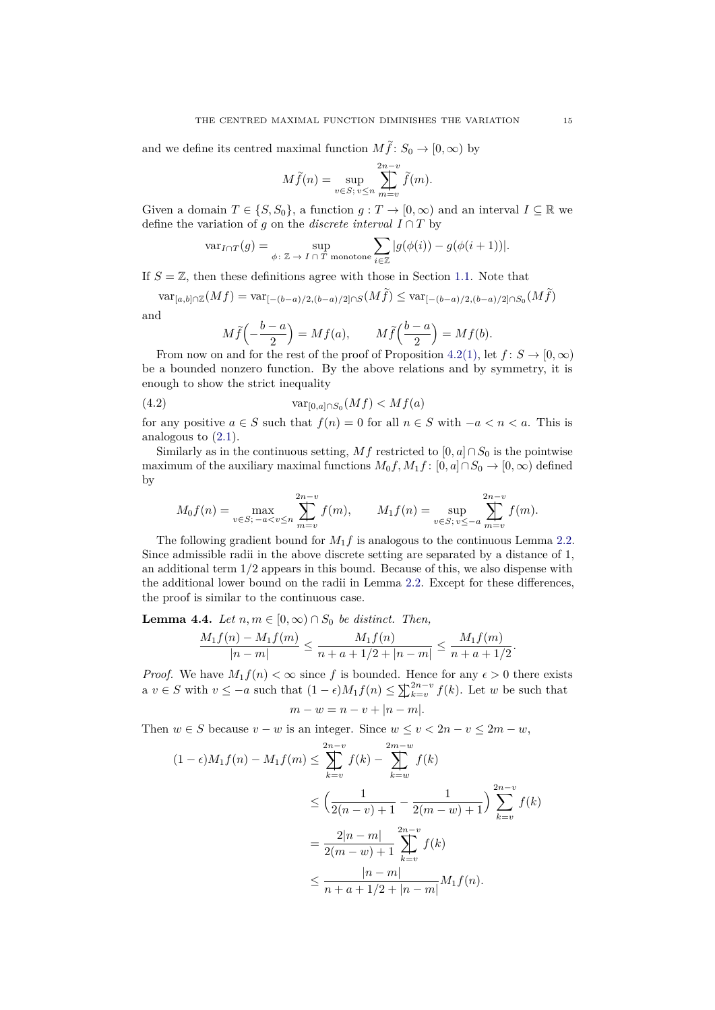and we define its centred maximal function  $M\tilde{f}$ :  $S_0 \to [0, \infty)$  by

$$
M\widetilde{f}(n) = \sup_{v \in S; \ v \le n} \sum_{m=v}^{2n-v} \widetilde{f}(m).
$$

Given a domain  $T \in \{S, S_0\}$ , a function  $g: T \to [0, \infty)$  and an interval  $I \subseteq \mathbb{R}$  we define the variation of *g* on the *discrete interval*  $I \cap T$  by

$$
\text{var}_{I \cap T}(g) = \sup_{\phi \colon \mathbb{Z} \to I \cap T \text{ monotone}} \sum_{i \in \mathbb{Z}} |g(\phi(i)) - g(\phi(i+1))|.
$$

If  $S = \mathbb{Z}$ , then these definitions agree with those in Section [1.1.](#page-1-3) Note that

 $\text{var}_{[a,b]\cap\mathbb{Z}}(Mf) = \text{var}_{[-(b-a)/2,(b-a)/2]\cap S}(M\tilde{f}) \leq \text{var}_{[-(b-a)/2,(b-a)/2]\cap S_0}(M\tilde{f})$ and

<span id="page-14-1"></span>
$$
M\widetilde{f}\left(-\frac{b-a}{2}\right) = Mf(a), \qquad M\widetilde{f}\left(\frac{b-a}{2}\right) = Mf(b).
$$

From now on and for the rest of the proof of Proposition [4.2](#page-13-1)[\(1\),](#page-13-3) let  $f: S \to [0, \infty)$ be a bounded nonzero function. By the above relations and by symmetry, it is enough to show the strict inequality

(4.2) 
$$
\text{var}_{[0,a]\cap S_0}(Mf) < Mf(a)
$$

for any positive  $a \in S$  such that  $f(n) = 0$  for all  $n \in S$  with  $-a < n < a$ . This is analogous to [\(2.1\)](#page-4-2).

Similarly as in the continuous setting, *Mf* restricted to  $[0, a] \cap S_0$  is the pointwise maximum of the auxiliary maximal functions  $M_0 f$ ,  $M_1 f$ :  $[0, a] \cap S_0 \to [0, \infty)$  defined by

$$
M_0 f(n) = \max_{v \in S; \ -a < v \le n} \sum_{m=v}^{2n-v} f(m), \qquad M_1 f(n) = \sup_{v \in S; \ v \le -a} \sum_{m=v}^{2n-v} f(m).
$$

The following gradient bound for *M*1*f* is analogous to the continuous Lemma [2.2.](#page-5-1) Since admissible radii in the above discrete setting are separated by a distance of 1, an additional term 1*/*2 appears in this bound. Because of this, we also dispense with the additional lower bound on the radii in Lemma [2.2.](#page-5-1) Except for these differences, the proof is similar to the continuous case.

<span id="page-14-0"></span>**Lemma 4.4.** *Let*  $n, m \in [0, \infty) \cap S_0$  *be distinct. Then,* 

$$
\frac{M_1f(n) - M_1f(m)}{|n-m|} \le \frac{M_1f(n)}{n + a + 1/2 + |n-m|} \le \frac{M_1f(m)}{n + a + 1/2}.
$$

*Proof.* We have  $M_1 f(n) < \infty$  since f is bounded. Hence for any  $\epsilon > 0$  there exists  $a$  *v* ∈ *S* with  $v$  ≤ −*a* such that  $(1 - \epsilon)M_1f(n)$  ≤  $\sum_{k=v}^{2n-v} f(k)$ . Let *w* be such that  $m - w = n - v + |n - m|$ .

Then  $w \in S$  because  $v - w$  is an integer. Since  $w \le v < 2n - v \le 2m - w$ ,

$$
(1 - \epsilon)M_1 f(n) - M_1 f(m) \le \sum_{k=v}^{2n-v} f(k) - \sum_{k=w}^{2m-w} f(k)
$$
  

$$
\le \left(\frac{1}{2(n-v)+1} - \frac{1}{2(m-w)+1}\right) \sum_{k=v}^{2n-v} f(k)
$$
  

$$
= \frac{2|n-m|}{2(m-w)+1} \sum_{k=v}^{2n-v} f(k)
$$
  

$$
\le \frac{|n-m|}{n+a+1/2+|n-m|} M_1 f(n).
$$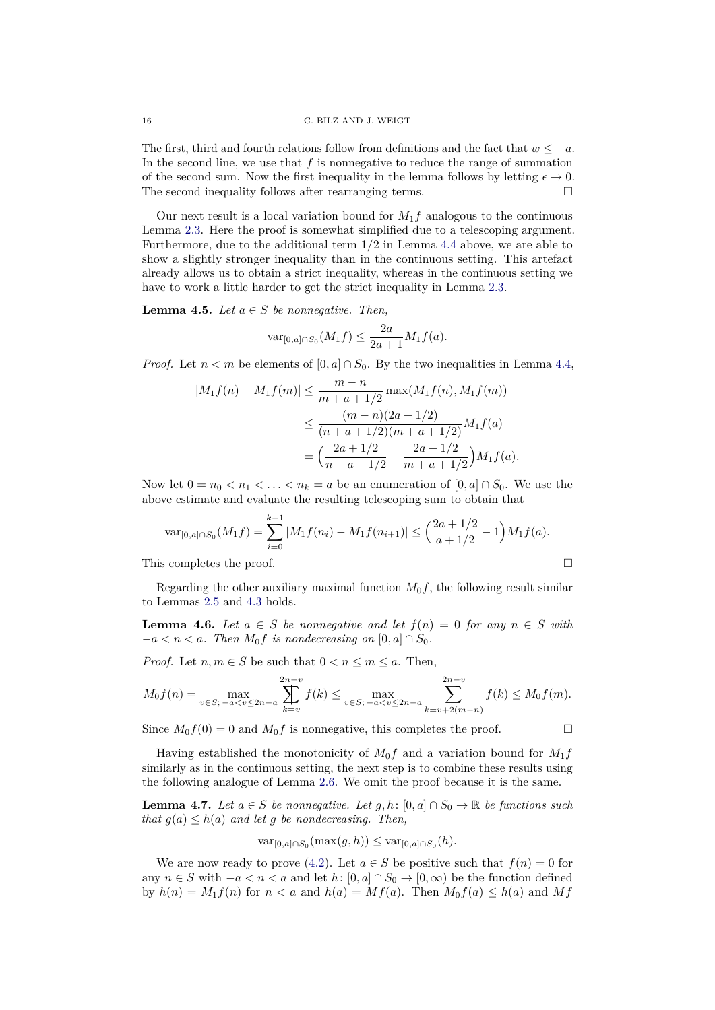The first, third and fourth relations follow from definitions and the fact that  $w \leq -a$ . In the second line, we use that  $f$  is nonnegative to reduce the range of summation of the second sum. Now the first inequality in the lemma follows by letting  $\epsilon \to 0$ . The second inequality follows after rearranging terms.  $\Box$ 

Our next result is a local variation bound for  $M_1f$  analogous to the continuous Lemma [2.3.](#page-6-0) Here the proof is somewhat simplified due to a telescoping argument. Furthermore, due to the additional term 1*/*2 in Lemma [4.4](#page-14-0) above, we are able to show a slightly stronger inequality than in the continuous setting. This artefact already allows us to obtain a strict inequality, whereas in the continuous setting we have to work a little harder to get the strict inequality in Lemma [2.3.](#page-6-0)

<span id="page-15-2"></span>**Lemma 4.5.** *Let*  $a \in S$  *be nonnegative. Then,* 

$$
\text{var}_{[0,a]\cap S_0}(M_1f) \le \frac{2a}{2a+1}M_1f(a).
$$

*Proof.* Let  $n < m$  be elements of  $[0, a] \cap S_0$ . By the two inequalities in Lemma [4.4,](#page-14-0)

$$
|M_1 f(n) - M_1 f(m)| \le \frac{m - n}{m + a + 1/2} \max(M_1 f(n), M_1 f(m))
$$
  

$$
\le \frac{(m - n)(2a + 1/2)}{(n + a + 1/2)(m + a + 1/2)} M_1 f(a)
$$
  

$$
= \left(\frac{2a + 1/2}{n + a + 1/2} - \frac{2a + 1/2}{m + a + 1/2}\right) M_1 f(a).
$$

Now let  $0 = n_0 < n_1 < \ldots < n_k = a$  be an enumeration of  $[0, a] \cap S_0$ . We use the above estimate and evaluate the resulting telescoping sum to obtain that

$$
\text{var}_{[0,a]\cap S_0}(M_1f) = \sum_{i=0}^{k-1} |M_1f(n_i) - M_1f(n_{i+1})| \le \left(\frac{2a+1/2}{a+1/2} - 1\right)M_1f(a).
$$

This completes the proof.

Regarding the other auxiliary maximal function  $M_0 f$ , the following result similar to Lemmas [2.5](#page-7-0) and [4.3](#page-13-4) holds.

<span id="page-15-0"></span>**Lemma 4.6.** *Let*  $a \in S$  *be nonnegative and let*  $f(n) = 0$  *for any*  $n \in S$  *with*  $-a < n < a$ *. Then*  $M_0 f$  *is nondecreasing on*  $[0, a] \cap S_0$ *.* 

*Proof.* Let  $n, m \in S$  be such that  $0 < n \le m \le a$ . Then,

$$
M_0 f(n) = \max_{v \in S; \ -a < v \le 2n - a} \sum_{k=v}^{2n - v} f(k) \le \max_{v \in S; \ -a < v \le 2n - a} \sum_{k=v+2(m-n)}^{2n - v} f(k) \le M_0 f(m).
$$

Since  $M_0 f(0) = 0$  and  $M_0 f$  is nonnegative, this completes the proof.

Having established the monotonicity of  $M_0f$  and a variation bound for  $M_1f$ similarly as in the continuous setting, the next step is to combine these results using the following analogue of Lemma [2.6.](#page-7-1) We omit the proof because it is the same.

<span id="page-15-1"></span>**Lemma 4.7.** *Let*  $a \in S$  *be nonnegative. Let*  $g, h: [0, a] \cap S_0 \to \mathbb{R}$  *be functions such that*  $g(a) \leq h(a)$  *and let g be nondecreasing. Then,* 

$$
\mathrm{var}_{[0,a]\cap S_0}(\max(g,h))\leq \mathrm{var}_{[0,a]\cap S_0}(h).
$$

We are now ready to prove [\(4.2\)](#page-14-1). Let  $a \in S$  be positive such that  $f(n) = 0$  for any  $n \in S$  with  $-a < n < a$  and let  $h: [0, a] \cap S_0 \to [0, \infty)$  be the function defined by  $h(n) = M_1 f(n)$  for  $n < a$  and  $h(a) = M f(a)$ . Then  $M_0 f(a) \leq h(a)$  and  $Mf$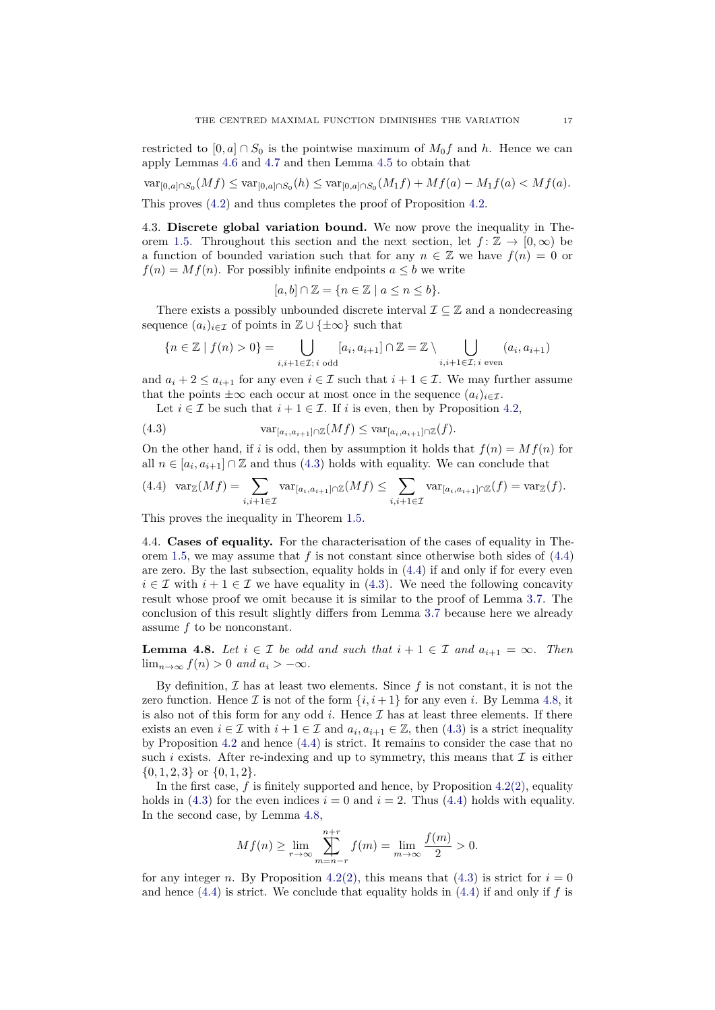restricted to  $[0, a] \cap S_0$  is the pointwise maximum of  $M_0 f$  and h. Hence we can apply Lemmas [4.6](#page-15-0) and [4.7](#page-15-1) and then Lemma [4.5](#page-15-2) to obtain that

$$
\text{var}_{[0,a]\cap S_0}(Mf) \leq \text{var}_{[0,a]\cap S_0}(h) \leq \text{var}_{[0,a]\cap S_0}(M_1f) + Mf(a) - M_1f(a) < Mf(a).
$$

This proves [\(4.2\)](#page-14-1) and thus completes the proof of Proposition [4.2.](#page-13-1)

<span id="page-16-0"></span>4.3. **Discrete global variation bound.** We now prove the inequality in The-orem [1.5.](#page-2-1) Throughout this section and the next section, let  $f: \mathbb{Z} \to [0, \infty)$  be a function of bounded variation such that for any  $n \in \mathbb{Z}$  we have  $f(n) = 0$  or  $f(n) = Mf(n)$ . For possibly infinite endpoints  $a \leq b$  we write

$$
[a, b] \cap \mathbb{Z} = \{ n \in \mathbb{Z} \mid a \le n \le b \}.
$$

There exists a possibly unbounded discrete interval  $\mathcal{I} \subseteq \mathbb{Z}$  and a nondecreasing sequence  $(a_i)_{i \in \mathcal{I}}$  of points in  $\mathbb{Z} \cup \{\pm \infty\}$  such that

$$
\{n \in \mathbb{Z} \mid f(n) > 0\} = \bigcup_{i,i+1 \in \mathcal{I}; i \text{ odd}} [a_i, a_{i+1}] \cap \mathbb{Z} = \mathbb{Z} \setminus \bigcup_{i,i+1 \in \mathcal{I}; i \text{ even}} (a_i, a_{i+1})
$$

and  $a_i + 2 \le a_{i+1}$  for any even  $i \in \mathcal{I}$  such that  $i + 1 \in \mathcal{I}$ . We may further assume that the points  $\pm \infty$  each occur at most once in the sequence  $(a_i)_{i \in \mathcal{I}}$ .

<span id="page-16-2"></span>Let  $i \in \mathcal{I}$  be such that  $i + 1 \in \mathcal{I}$ . If  $i$  is even, then by Proposition [4.2,](#page-13-1)

(4.3) 
$$
\text{var}_{[a_i, a_{i+1}] \cap \mathbb{Z}}(Mf) \leq \text{var}_{[a_i, a_{i+1}] \cap \mathbb{Z}}(f).
$$

On the other hand, if *i* is odd, then by assumption it holds that  $f(n) = Mf(n)$  for all  $n \in [a_i, a_{i+1}] \cap \mathbb{Z}$  and thus [\(4.3\)](#page-16-2) holds with equality. We can conclude that

<span id="page-16-3"></span>
$$
(4.4) \ \ \operatorname{var}_{\mathbb{Z}}(Mf) = \sum_{i,i+1 \in \mathcal{I}} \operatorname{var}_{[a_i, a_{i+1}] \cap \mathbb{Z}}(Mf) \le \sum_{i,i+1 \in \mathcal{I}} \operatorname{var}_{[a_i, a_{i+1}] \cap \mathbb{Z}}(f) = \operatorname{var}_{\mathbb{Z}}(f).
$$

This proves the inequality in Theorem [1.5.](#page-2-1)

<span id="page-16-1"></span>4.4. **Cases of equality.** For the characterisation of the cases of equality in Theorem [1.5,](#page-2-1) we may assume that *f* is not constant since otherwise both sides of [\(4.4\)](#page-16-3) are zero. By the last subsection, equality holds in [\(4.4\)](#page-16-3) if and only if for every even  $i \in \mathcal{I}$  with  $i + 1 \in \mathcal{I}$  we have equality in [\(4.3\)](#page-16-2). We need the following concavity result whose proof we omit because it is similar to the proof of Lemma [3.7.](#page-11-0) The conclusion of this result slightly differs from Lemma [3.7](#page-11-0) because here we already assume *f* to be nonconstant.

<span id="page-16-4"></span>**Lemma 4.8.** *Let*  $i \in \mathcal{I}$  *be odd and such that*  $i + 1 \in \mathcal{I}$  *and*  $a_{i+1} = \infty$ *. Then* lim<sub>n→∞</sub>  $f(n) > 0$  and  $a_i > -\infty$ .

By definition,  $\mathcal I$  has at least two elements. Since  $f$  is not constant, it is not the zero function. Hence  $\mathcal I$  is not of the form  $\{i, i+1\}$  for any even *i*. By Lemma [4.8,](#page-16-4) it is also not of this form for any odd  $i$ . Hence  $\mathcal I$  has at least three elements. If there exists an even  $i \in \mathcal{I}$  with  $i + 1 \in \mathcal{I}$  and  $a_i, a_{i+1} \in \mathbb{Z}$ , then [\(4.3\)](#page-16-2) is a strict inequality by Proposition [4.2](#page-13-1) and hence [\(4.4\)](#page-16-3) is strict. It remains to consider the case that no such  $i$  exists. After re-indexing and up to symmetry, this means that  $\mathcal I$  is either {0*,* 1*,* 2*,* 3} or {0*,* 1*,* 2}.

In the first case,  $f$  is finitely supported and hence, by Proposition  $4.2(2)$  $4.2(2)$ , equality holds in [\(4.3\)](#page-16-2) for the even indices  $i = 0$  and  $i = 2$ . Thus [\(4.4\)](#page-16-3) holds with equality. In the second case, by Lemma [4.8,](#page-16-4)

$$
Mf(n) \ge \lim_{r \to \infty} \sum_{m=n-r}^{n+r} f(m) = \lim_{m \to \infty} \frac{f(m)}{2} > 0.
$$

for any integer *n*. By Proposition [4.2](#page-13-1)[\(2\),](#page-13-2) this means that [\(4.3\)](#page-16-2) is strict for  $i = 0$ and hence  $(4.4)$  is strict. We conclude that equality holds in  $(4.4)$  if and only if f is